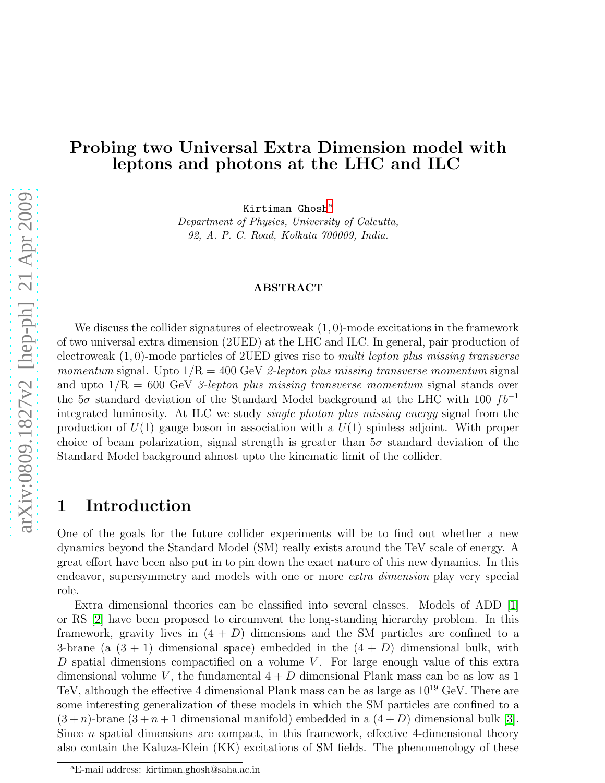# Probing two Universal Extra Dimension model with leptons and photons at the LHC and ILC

Kirtim[a](#page-0-0)n  $G$ hosh $a$ 

Department of Physics, University of Calcutta, 92, A. P. C. Road, Kolkata 700009, India.

#### ABSTRACT

We discuss the collider signatures of electroweak  $(1,0)$ -mode excitations in the framework of two universal extra dimension (2UED) at the LHC and ILC. In general, pair production of electroweak  $(1, 0)$ -mode particles of 2UED gives rise to multi lepton plus missing transverse momentum signal. Upto  $1/R = 400$  GeV 2-lepton plus missing transverse momentum signal and upto  $1/R = 600$  GeV 3-lepton plus missing transverse momentum signal stands over the  $5\sigma$  standard deviation of the Standard Model background at the LHC with 100  $fb^{-1}$ integrated luminosity. At ILC we study single photon plus missing energy signal from the production of  $U(1)$  gauge boson in association with a  $U(1)$  spinless adjoint. With proper choice of beam polarization, signal strength is greater than  $5\sigma$  standard deviation of the Standard Model background almost upto the kinematic limit of the collider.

# 1 Introduction

One of the goals for the future collider experiments will be to find out whether a new dynamics beyond the Standard Model (SM) really exists around the TeV scale of energy. A great effort have been also put in to pin down the exact nature of this new dynamics. In this endeavor, supersymmetry and models with one or more extra dimension play very special role.

Extra dimensional theories can be classified into several classes. Models of ADD [\[1\]](#page-21-0) or RS [\[2\]](#page-21-1) have been proposed to circumvent the long-standing hierarchy problem. In this framework, gravity lives in  $(4 + D)$  dimensions and the SM particles are confined to a 3-brane (a  $(3 + 1)$  dimensional space) embedded in the  $(4 + D)$  dimensional bulk, with D spatial dimensions compactified on a volume  $V$ . For large enough value of this extra dimensional volume V, the fundamental  $4 + D$  dimensional Plank mass can be as low as 1 TeV, although the effective 4 dimensional Plank mass can be as large as  $10^{19}$  GeV. There are some interesting generalization of these models in which the SM particles are confined to a  $(3+n)$ -brane  $(3+n+1)$  dimensional manifold) embedded in a  $(4+D)$  dimensional bulk [\[3\]](#page-21-2). Since  $n$  spatial dimensions are compact, in this framework, effective 4-dimensional theory also contain the Kaluza-Klein (KK) excitations of SM fields. The phenomenology of these

<span id="page-0-0"></span><sup>a</sup>E-mail address: kirtiman.ghosh@saha.ac.in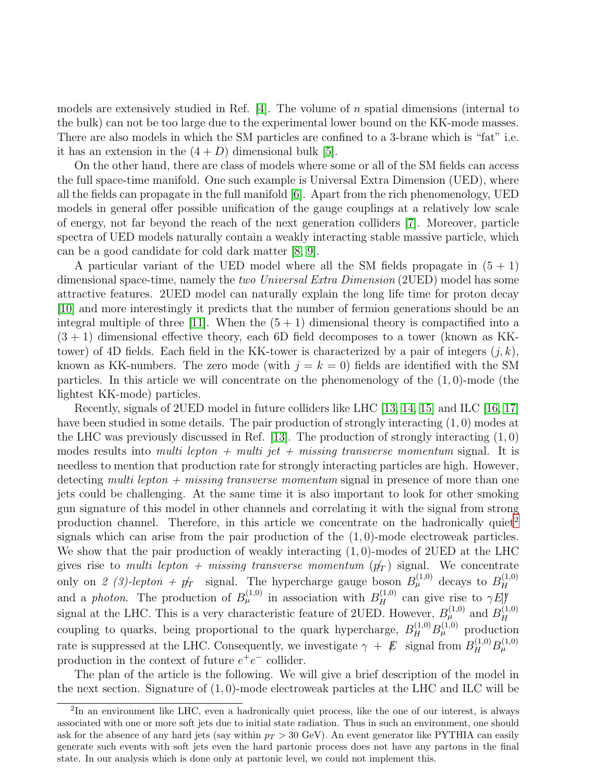models are extensively studied in Ref.  $[4]$ . The volume of n spatial dimensions (internal to the bulk) can not be too large due to the experimental lower bound on the KK-mode masses. There are also models in which the SM particles are confined to a 3-brane which is "fat" i.e. it has an extension in the  $(4+D)$  dimensional bulk [\[5\]](#page-21-4).

On the other hand, there are class of models where some or all of the SM fields can access the full space-time manifold. One such example is Universal Extra Dimension (UED), where all the fields can propagate in the full manifold [\[6\]](#page-22-0). Apart from the rich phenomenology, UED models in general offer possible unification of the gauge couplings at a relatively low scale of energy, not far beyond the reach of the next generation colliders [\[7\]](#page-22-1). Moreover, particle spectra of UED models naturally contain a weakly interacting stable massive particle, which can be a good candidate for cold dark matter [\[8,](#page-22-2) [9\]](#page-22-3).

A particular variant of the UED model where all the SM fields propagate in  $(5 + 1)$ dimensional space-time, namely the two Universal Extra Dimension (2UED) model has some attractive features. 2UED model can naturally explain the long life time for proton decay [\[10\]](#page-22-4) and more interestingly it predicts that the number of fermion generations should be an integral multiple of three [\[11\]](#page-22-5). When the  $(5 + 1)$  dimensional theory is compactified into a  $(3 + 1)$  dimensional effective theory, each 6D field decomposes to a tower (known as KKtower) of 4D fields. Each field in the KK-tower is characterized by a pair of integers  $(j, k)$ , known as KK-numbers. The zero mode (with  $j = k = 0$ ) fields are identified with the SM particles. In this article we will concentrate on the phenomenology of the  $(1, 0)$ -mode (the lightest KK-mode) particles.

Recently, signals of 2UED model in future colliders like LHC [\[13,](#page-22-6) [14,](#page-22-7) [15\]](#page-22-8) and ILC [\[16,](#page-22-9) [17\]](#page-22-10) have been studied in some details. The pair production of strongly interacting  $(1,0)$  modes at the LHC was previously discussed in Ref.  $[13]$ . The production of strongly interacting  $(1,0)$ modes results into multi lepton  $+$  multi jet  $+$  missing transverse momentum signal. It is needless to mention that production rate for strongly interacting particles are high. However, detecting multi lepton  $+$  missing transverse momentum signal in presence of more than one jets could be challenging. At the same time it is also important to look for other smoking gun signature of this model in other channels and correlating it with the signal from strong production channel. Therefore, in this article we concentrate on the hadronically quiet<sup>[2](#page-1-0)</sup> signals which can arise from the pair production of the  $(1, 0)$ -mode electroweak particles. We show that the pair production of weakly interacting (1, 0)-modes of 2UED at the LHC gives rise to multi lepton + missing transverse momentum  $(p_T)$  signal. We concentrate only on 2 (3)-lepton +  $p_T^{\prime}$  signal. The hypercharge gauge boson  $B_{\mu}^{(1,0)}$  decays to  $B_H^{(1,0)}$ H and a photon. The production of  $B_{\mu}^{(1,0)}$  in association with  $B_{H}^{(1,0)}$  can give rise to  $\gamma E_{\mu}^{y}$ signal at the LHC. This is a very characteristic feature of 2UED. However,  $B_{\mu}^{(1,0)}$  and  $B_{H}^{(1,0)}$ H coupling to quarks, being proportional to the quark hypercharge,  $B_H^{(1,0)} B_\mu^{(1,0)}$  production rate is suppressed at the LHC. Consequently, we investigate  $\gamma + \not{E}$  signal from  $B_H^{(1,0)} B_\mu^{(1,0)}$ production in the context of future  $e^+e^-$  collider.

The plan of the article is the following. We will give a brief description of the model in the next section. Signature of  $(1, 0)$ -mode electroweak particles at the LHC and ILC will be

<span id="page-1-0"></span><sup>&</sup>lt;sup>2</sup>In an environment like LHC, even a hadronically quiet process, like the one of our interest, is always associated with one or more soft jets due to initial state radiation. Thus in such an environment, one should ask for the absence of any hard jets (say within  $p_T > 30$  GeV). An event generator like PYTHIA can easily generate such events with soft jets even the hard partonic process does not have any partons in the final state. In our analysis which is done only at partonic level, we could not implement this.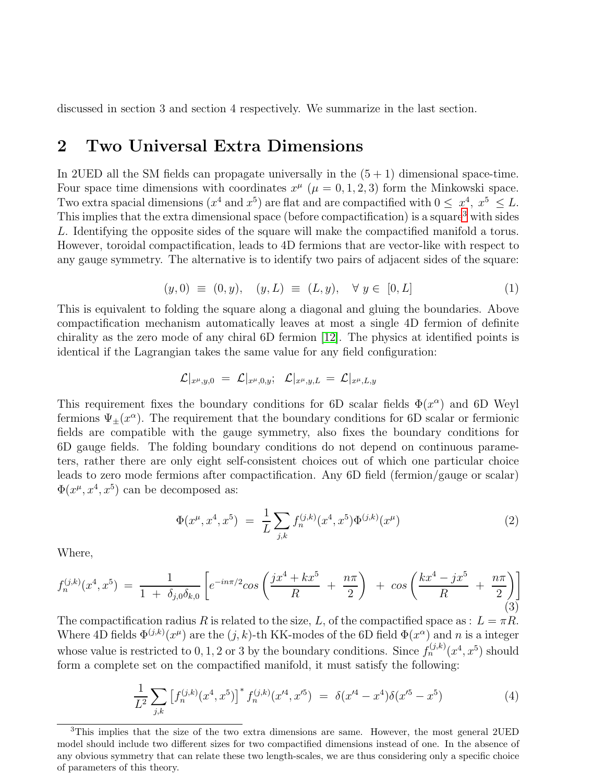discussed in section 3 and section 4 respectively. We summarize in the last section.

# 2 Two Universal Extra Dimensions

In 2UED all the SM fields can propagate universally in the  $(5 + 1)$  dimensional space-time. Four space time dimensions with coordinates  $x^{\mu}$  ( $\mu = 0, 1, 2, 3$ ) form the Minkowski space. Two extra spacial dimensions  $(x^4 \text{ and } x^5)$  are flat and are compactified with  $0 \leq x^4$ ,  $x^5 \leq L$ . This implies that the extra dimensional space (before compactification) is a square<sup>[3](#page-2-0)</sup> with sides L. Identifying the opposite sides of the square will make the compactified manifold a torus. However, toroidal compactification, leads to 4D fermions that are vector-like with respect to any gauge symmetry. The alternative is to identify two pairs of adjacent sides of the square:

$$
(y,0) \equiv (0,y), \quad (y,L) \equiv (L,y), \quad \forall \ y \in [0,L] \tag{1}
$$

This is equivalent to folding the square along a diagonal and gluing the boundaries. Above compactification mechanism automatically leaves at most a single 4D fermion of definite chirality as the zero mode of any chiral 6D fermion [\[12\]](#page-22-11). The physics at identified points is identical if the Lagrangian takes the same value for any field configuration:

$$
\mathcal{L}|_{x^{\mu},y,0}\ =\ \mathcal{L}|_{x^{\mu},0,y};\ \ \mathcal{L}|_{x^{\mu},y,L}\ =\ \mathcal{L}|_{x^{\mu},L,y}
$$

This requirement fixes the boundary conditions for 6D scalar fields  $\Phi(x^{\alpha})$  and 6D Weyl fermions  $\Psi_{\pm}(x^{\alpha})$ . The requirement that the boundary conditions for 6D scalar or fermionic fields are compatible with the gauge symmetry, also fixes the boundary conditions for 6D gauge fields. The folding boundary conditions do not depend on continuous parameters, rather there are only eight self-consistent choices out of which one particular choice leads to zero mode fermions after compactification. Any 6D field (fermion/gauge or scalar)  $\Phi(x^{\mu}, x^4, x^5)$  can be decomposed as:

$$
\Phi(x^{\mu}, x^4, x^5) = \frac{1}{L} \sum_{j,k} f_n^{(j,k)}(x^4, x^5) \Phi^{(j,k)}(x^{\mu}) \tag{2}
$$

Where,

$$
f_n^{(j,k)}(x^4, x^5) = \frac{1}{1 + \delta_{j,0}\delta_{k,0}} \left[ e^{-in\pi/2} \cos\left(\frac{jx^4 + kx^5}{R} + \frac{n\pi}{2}\right) + \cos\left(\frac{kx^4 - jx^5}{R} + \frac{n\pi}{2}\right) \right]
$$
(3)

The compactification radius R is related to the size, L, of the compactified space as :  $L = \pi R$ . Where 4D fields  $\Phi^{(j,k)}(x^{\mu})$  are the  $(j,k)$ -th KK-modes of the 6D field  $\Phi(x^{\alpha})$  and n is a integer whose value is restricted to 0, 1, 2 or 3 by the boundary conditions. Since  $f_n^{(j,k)}(x^4, x^5)$  should form a complete set on the compactified manifold, it must satisfy the following:

<span id="page-2-1"></span>
$$
\frac{1}{L^2} \sum_{j,k} \left[ f_n^{(j,k)}(x^4, x^5) \right]^* f_n^{(j,k)}(x^{\prime 4}, x^{\prime 5}) = \delta(x^{\prime 4} - x^4) \delta(x^{\prime 5} - x^5) \tag{4}
$$

<span id="page-2-0"></span><sup>3</sup>This implies that the size of the two extra dimensions are same. However, the most general 2UED model should include two different sizes for two compactified dimensions instead of one. In the absence of any obvious symmetry that can relate these two length-scales, we are thus considering only a specific choice of parameters of this theory.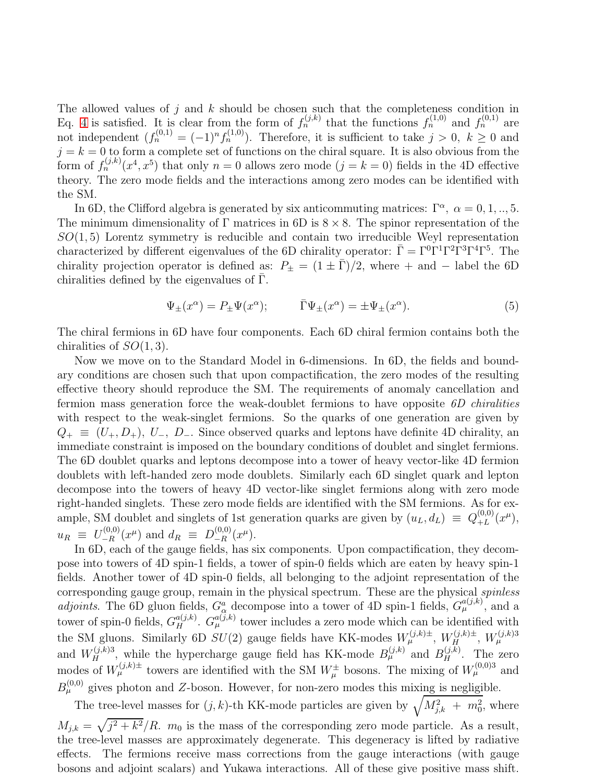The allowed values of  $j$  and  $k$  should be chosen such that the completeness condition in Eq. [4](#page-2-1) is satisfied. It is clear from the form of  $f_n^{(j,k)}$  that the functions  $f_n^{(1,0)}$  and  $f_n^{(0,1)}$  are not independent  $(f_n^{(0,1)} = (-1)^n f_n^{(1,0)}$ . Therefore, it is sufficient to take  $j > 0$ ,  $k \geq 0$  and  $j = k = 0$  to form a complete set of functions on the chiral square. It is also obvious from the form of  $f_n^{(j,k)}(x^4, x^5)$  that only  $n = 0$  allows zero mode  $(j = k = 0)$  fields in the 4D effective theory. The zero mode fields and the interactions among zero modes can be identified with the SM.

In 6D, the Clifford algebra is generated by six anticommuting matrices:  $\Gamma^{\alpha}$ ,  $\alpha = 0, 1, ..., 5$ . The minimum dimensionality of  $\Gamma$  matrices in 6D is  $8 \times 8$ . The spinor representation of the  $SO(1,5)$  Lorentz symmetry is reducible and contain two irreducible Weyl representation characterized by different eigenvalues of the 6D chirality operator:  $\bar{\Gamma} = \Gamma^0 \Gamma^1 \Gamma^2 \Gamma^3 \Gamma^4 \Gamma^5$ . The chirality projection operator is defined as:  $P_{\pm} = (1 \pm \bar{\Gamma})/2$ , where + and - label the 6D chiralities defined by the eigenvalues of  $\Gamma$ .

<span id="page-3-0"></span>
$$
\Psi_{\pm}(x^{\alpha}) = P_{\pm}\Psi(x^{\alpha}); \qquad \bar{\Gamma}\Psi_{\pm}(x^{\alpha}) = \pm \Psi_{\pm}(x^{\alpha}). \tag{5}
$$

The chiral fermions in 6D have four components. Each 6D chiral fermion contains both the chiralities of  $SO(1,3)$ .

Now we move on to the Standard Model in 6-dimensions. In 6D, the fields and boundary conditions are chosen such that upon compactification, the zero modes of the resulting effective theory should reproduce the SM. The requirements of anomaly cancellation and fermion mass generation force the weak-doublet fermions to have opposite  $6D$  chiralities with respect to the weak-singlet fermions. So the quarks of one generation are given by  $Q_+ \equiv (U_+, D_+), U_-, D_-.$  Since observed quarks and leptons have definite 4D chirality, an immediate constraint is imposed on the boundary conditions of doublet and singlet fermions. The 6D doublet quarks and leptons decompose into a tower of heavy vector-like 4D fermion doublets with left-handed zero mode doublets. Similarly each 6D singlet quark and lepton decompose into the towers of heavy 4D vector-like singlet fermions along with zero mode right-handed singlets. These zero mode fields are identified with the SM fermions. As for example, SM doublet and singlets of 1st generation quarks are given by  $(u_L, d_L) \equiv Q_{+L}^{(0,0)}$  $_{+L}^{(0,0)}(x^{\mu}),$  $u_R \equiv U_{-R}^{(0,0)}$  $\frac{L_{-R}^{(0,0)}(x^{\mu})}{L_{-R}^{(0,0)}}$  and  $d_R \equiv D_{-R}^{(0,0)}$  $\frac{1}{-R}(x^{\mu}).$ 

In 6D, each of the gauge fields, has six components. Upon compactification, they decompose into towers of 4D spin-1 fields, a tower of spin-0 fields which are eaten by heavy spin-1 fields. Another tower of 4D spin-0 fields, all belonging to the adjoint representation of the corresponding gauge group, remain in the physical spectrum. These are the physical spinless adjoints. The 6D gluon fields,  $G^a_\alpha$  decompose into a tower of 4D spin-1 fields,  $G^{a(j,k)}_\mu$ , and a tower of spin-0 fields,  $G_{H}^{a(j,k)}$ .  $G_{\mu}^{a(j,k)}$  tower includes a zero mode which can be identified with the SM gluons. Similarly 6D  $SU(2)$  gauge fields have KK-modes  $W_{\mu}^{(j,k)\pm}$ ,  $W_{H}^{(j,k)\pm}$ ,  $W_{\mu}^{(j,k)3}$ and  $W_H^{(j,k)3}$ , while the hypercharge gauge field has KK-mode  $B_\mu^{(j,k)}$  and  $B_H^{(j,k)}$ . The zero modes of  $W^{(j,k)\pm}_{\mu}$  towers are identified with the SM  $W^{\pm}_{\mu}$  bosons. The mixing of  $W^{(0,0)3}_{\mu}$  and  $B_{\mu}^{(0,0)}$  gives photon and Z-boson. However, for non-zero modes this mixing is negligible.

The tree-level masses for  $(j, k)$ -th KK-mode particles are given by  $\sqrt{M_{j,k}^2 + m_0^2}$ , where  $M_{j,k} = \sqrt{j^2 + k^2}/R$ .  $m_0$  is the mass of the corresponding zero mode particle. As a result, the tree-level masses are approximately degenerate. This degeneracy is lifted by radiative effects. The fermions receive mass corrections from the gauge interactions (with gauge bosons and adjoint scalars) and Yukawa interactions. All of these give positive mass shift.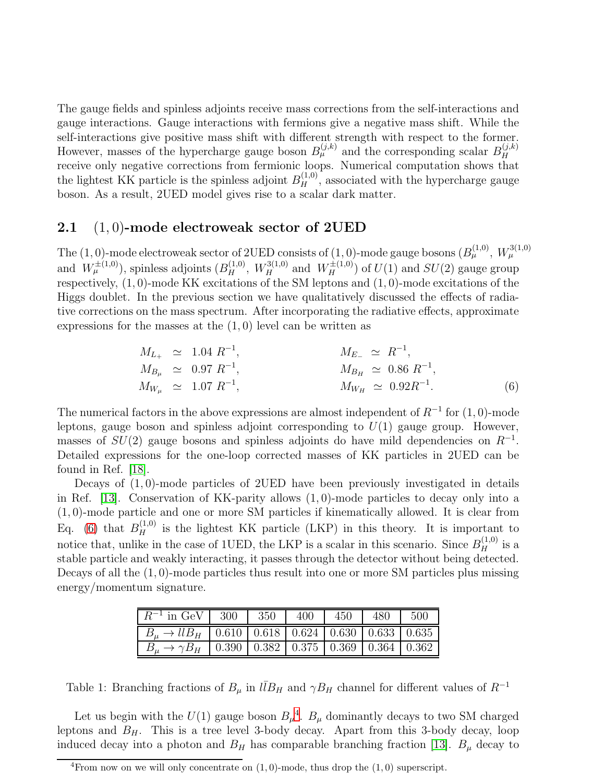The gauge fields and spinless adjoints receive mass corrections from the self-interactions and gauge interactions. Gauge interactions with fermions give a negative mass shift. While the self-interactions give positive mass shift with different strength with respect to the former. However, masses of the hypercharge gauge boson  $B_{\mu}^{(j,k)}$  and the corresponding scalar  $B_{H}^{(j,k)}$ H receive only negative corrections from fermionic loops. Numerical computation shows that the lightest KK particle is the spinless adjoint  $B_H^{(1,0)}$ , associated with the hypercharge gauge boson. As a result, 2UED model gives rise to a scalar dark matter.

#### 2.1  $(1, 0)$ -mode electroweak sector of 2UED

The (1,0)-mode electroweak sector of 2UED consists of (1,0)-mode gauge bosons  $(B<sub>\mu</sub><sup>(1,0)</sup>, W<sub>\mu</sub><sup>3(1,0)</sup>$ and  $W^{\pm(1,0)}_{\mu}$ , spinless adjoints  $(B_H^{(1,0)}, W_H^{3(1,0)}$  and  $W_H^{\pm(1,0)})$  of  $U(1)$  and  $SU(2)$  gauge group respectively, (1, 0)-mode KK excitations of the SM leptons and (1, 0)-mode excitations of the Higgs doublet. In the previous section we have qualitatively discussed the effects of radiative corrections on the mass spectrum. After incorporating the radiative effects, approximate expressions for the masses at the  $(1, 0)$  level can be written as

<span id="page-4-0"></span>
$$
M_{L_{+}} \simeq 1.04 R^{-1}, \qquad M_{E_{-}} \simeq R^{-1},
$$
  
\n
$$
M_{B_{\mu}} \simeq 0.97 R^{-1}, \qquad M_{B_{H}} \simeq 0.86 R^{-1},
$$
  
\n
$$
M_{W_{\mu}} \simeq 1.07 R^{-1}, \qquad M_{W_{H}} \simeq 0.92 R^{-1}.
$$
 (6)

The numerical factors in the above expressions are almost independent of  $R^{-1}$  for  $(1,0)$ -mode leptons, gauge boson and spinless adjoint corresponding to  $U(1)$  gauge group. However, masses of  $SU(2)$  gauge bosons and spinless adjoints do have mild dependencies on  $R^{-1}$ . Detailed expressions for the one-loop corrected masses of KK particles in 2UED can be found in Ref. [\[18\]](#page-22-12).

Decays of  $(1, 0)$ -mode particles of 2UED have been previously investigated in details in Ref. [\[13\]](#page-22-6). Conservation of KK-parity allows (1, 0)-mode particles to decay only into a (1, 0)-mode particle and one or more SM particles if kinematically allowed. It is clear from Eq. [\(6\)](#page-4-0) that  $B_H^{(1,0)}$  is the lightest KK particle (LKP) in this theory. It is important to notice that, unlike in the case of 1UED, the LKP is a scalar in this scenario. Since  $B_H^{(1,0)}$  is a stable particle and weakly interacting, it passes through the detector without being detected. Decays of all the  $(1, 0)$ -mode particles thus result into one or more SM particles plus missing energy/momentum signature.

| $R^{-1}$ in GeV   300   350                                                  |  | -400 | 450 | 480 | 500 |
|------------------------------------------------------------------------------|--|------|-----|-----|-----|
| $B_u \rightarrow l l B_H$   0.610   0.618   0.624   0.630   0.633   0.635    |  |      |     |     |     |
| $B_u \rightarrow \gamma B_H$   0.390   0.382   0.375   0.369   0.364   0.362 |  |      |     |     |     |

<span id="page-4-2"></span>Table 1: Branching fractions of  $B_\mu$  in  $l\bar{l}B_H$  and  $\gamma B_H$  channel for different values of  $R^{-1}$ 

Let us begin with the  $U(1)$  gauge boson  $B_\mu^4$  $B_\mu^4$ .  $B_\mu$  dominantly decays to two SM charged leptons and  $B_H$ . This is a tree level 3-body decay. Apart from this 3-body decay, loop induced decay into a photon and  $B_H$  has comparable branching fraction [\[13\]](#page-22-6).  $B_\mu$  decay to

<span id="page-4-1"></span><sup>&</sup>lt;sup>4</sup>From now on we will only concentrate on  $(1, 0)$ -mode, thus drop the  $(1, 0)$  superscript.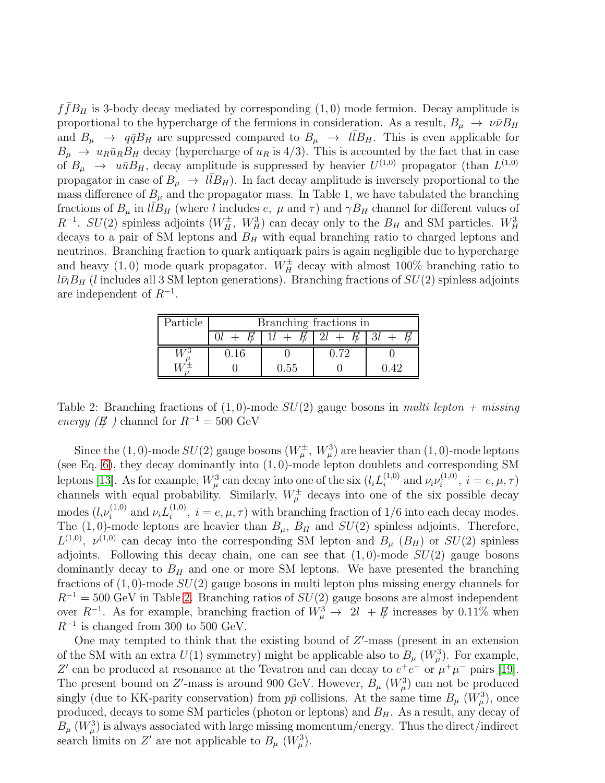$f\bar{f}B_H$  is 3-body decay mediated by corresponding  $(1,0)$  mode fermion. Decay amplitude is proportional to the hypercharge of the fermions in consideration. As a result,  $B_{\mu} \to \nu \bar{\nu} B_H$ and  $B_{\mu} \rightarrow q\bar{q}B_H$  are suppressed compared to  $B_{\mu} \rightarrow l\bar{l}B_H$ . This is even applicable for  $B_{\mu} \to u_R \bar{u}_R B_H$  decay (hypercharge of  $u_R$  is 4/3). This is accounted by the fact that in case of  $B_{\mu} \rightarrow u\bar{u}B_H$ , decay amplitude is suppressed by heavier  $U^{(1,0)}$  propagator (than  $L^{(1,0)}$ ) propagator in case of  $B_{\mu} \to l\bar{l}B_H$ ). In fact decay amplitude is inversely proportional to the mass difference of  $B_{\mu}$  and the propagator mass. In Table 1, we have tabulated the branching fractions of  $B_{\mu}$  in  $l\bar{l}B_H$  (where l includes e,  $\mu$  and  $\tau$ ) and  $\gamma B_H$  channel for different values of  $R^{-1}$ .  $SU(2)$  spinless adjoints  $(W_H^{\pm}, W_H^3)$  can decay only to the  $B_H$  and SM particles.  $W_H^3$ decays to a pair of SM leptons and  $B<sub>H</sub>$  with equal branching ratio to charged leptons and neutrinos. Branching fraction to quark antiquark pairs is again negligible due to hypercharge and heavy  $(1,0)$  mode quark propagator.  $W_H^{\pm}$  decay with almost 100% branching ratio to  $l\bar{\nu}_lB_H$  (l includes all 3 SM lepton generations). Branching fractions of  $SU(2)$  spinless adjoints are independent of  $R^{-1}$ .

| Particle | Branching fractions in |       |  |  |  |  |  |
|----------|------------------------|-------|--|--|--|--|--|
|          |                        |       |  |  |  |  |  |
|          |                        |       |  |  |  |  |  |
|          |                        | $-55$ |  |  |  |  |  |

<span id="page-5-0"></span>Table 2: Branching fractions of  $(1, 0)$ -mode  $SU(2)$  gauge bosons in multi lepton + missing energy ( $E$ ) channel for  $R^{-1} = 500$  GeV

Since the (1,0)-mode  $SU(2)$  gauge bosons  $(W^{\pm}_{\mu}, W^3_{\mu})$  are heavier than (1,0)-mode leptons (see Eq. [6\)](#page-4-0), they decay dominantly into  $(1, 0)$ -mode lepton doublets and corresponding SM leptons [\[13\]](#page-22-6). As for example,  $W^3_\mu$  can decay into one of the six  $(l_i L_i^{(1,0)}$  $i^{(1,0)}$  and  $\nu_i \nu_i^{(1,0)}$  $i_i^{(1,0)}, i = e, \mu, \tau$ channels with equal probability. Similarly,  $W^{\pm}_{\mu}$  decays into one of the six possible decay modes  $(l_i \nu_i^{(1,0)}$  $\mu_i^{(1,0)}$  and  $\nu_i L_i^{(1,0)}$  $i_i^{(1,0)}, i = e, \mu, \tau$  with branching fraction of 1/6 into each decay modes. The (1,0)-mode leptons are heavier than  $B_{\mu}$ ,  $B_{H}$  and  $SU(2)$  spinless adjoints. Therefore,  $L^{(1,0)}$ ,  $\nu^{(1,0)}$  can decay into the corresponding SM lepton and  $B_{\mu}$  ( $B_{H}$ ) or  $SU(2)$  spinless adjoints. Following this decay chain, one can see that  $(1,0)$ -mode  $SU(2)$  gauge bosons dominantly decay to  $B_H$  and one or more SM leptons. We have presented the branching fractions of  $(1,0)$ -mode  $SU(2)$  gauge bosons in multi lepton plus missing energy channels for  $R^{-1} = 500$  GeV in Table [2.](#page-5-0) Branching ratios of  $SU(2)$  gauge bosons are almost independent over  $R^{-1}$ . As for example, branching fraction of  $W^3_\mu \to 2l + E\mu$  increases by 0.11% when  $R^{-1}$  is changed from 300 to 500 GeV.

One may tempted to think that the existing bound of  $Z'$ -mass (present in an extension of the SM with an extra  $U(1)$  symmetry) might be applicable also to  $B_{\mu}$  ( $W^3_{\mu}$ ). For example, Z' can be produced at resonance at the Tevatron and can decay to  $e^+e^-$  or  $\mu^+\mu^-$  pairs [\[19\]](#page-22-13). The present bound on Z'-mass is around 900 GeV. However,  $B_{\mu}$  ( $W_{\mu}^{3}$ ) can not be produced singly (due to KK-parity conservation) from  $p\bar{p}$  collisions. At the same time  $B_{\mu}$   $(W_{\mu}^{3})$ , once produced, decays to some SM particles (photon or leptons) and  $B<sub>H</sub>$ . As a result, any decay of  $B_{\mu}$  ( $W_{\mu}^{3}$ ) is always associated with large missing momentum/energy. Thus the direct/indirect search limits on Z' are not applicable to  $B_{\mu}$  ( $W_{\mu}^{3}$ ).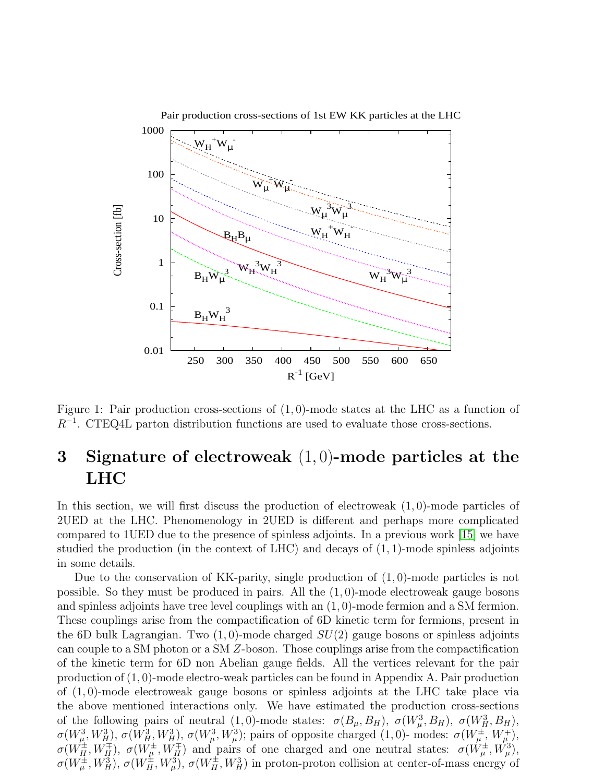

<span id="page-6-0"></span>Figure 1: Pair production cross-sections of  $(1,0)$ -mode states at the LHC as a function of R−<sup>1</sup> . CTEQ4L parton distribution functions are used to evaluate those cross-sections.

# 3 Signature of electroweak (1, 0)-mode particles at the LHC

In this section, we will first discuss the production of electroweak  $(1,0)$ -mode particles of 2UED at the LHC. Phenomenology in 2UED is different and perhaps more complicated compared to 1UED due to the presence of spinless adjoints. In a previous work [\[15\]](#page-22-8) we have studied the production (in the context of LHC) and decays of  $(1, 1)$ -mode spinless adjoints in some details.

Due to the conservation of KK-parity, single production of  $(1,0)$ -mode particles is not possible. So they must be produced in pairs. All the  $(1,0)$ -mode electroweak gauge bosons and spinless adjoints have tree level couplings with an (1, 0)-mode fermion and a SM fermion. These couplings arise from the compactification of 6D kinetic term for fermions, present in the 6D bulk Lagrangian. Two  $(1, 0)$ -mode charged  $SU(2)$  gauge bosons or spinless adjoints can couple to a SM photon or a SM Z-boson. Those couplings arise from the compactification of the kinetic term for 6D non Abelian gauge fields. All the vertices relevant for the pair production of (1, 0)-mode electro-weak particles can be found in Appendix A. Pair production of  $(1, 0)$ -mode electroweak gauge bosons or spinless adjoints at the LHC take place via the above mentioned interactions only. We have estimated the production cross-sections of the following pairs of neutral  $(1,0)$ -mode states:  $\sigma(B_\mu, B_H)$ ,  $\sigma(W_\mu^3, B_H)$ ,  $\sigma(W_H^3, B_H)$ ,  $\sigma(W_\mu^3, W_H^3), \sigma(W_H^3, W_H^3), \sigma(W_\mu^3, W_\mu^3)$ ; pairs of opposite charged  $(1,0)$ - modes:  $\sigma(W_\mu^{\pm}, W_\mu^{\mp}),$  $\sigma(W_{H}^{\pm}, W_{H}^{\mp}), \sigma(W_{\mu}^{\pm}, W_{H}^{\mp})$  and pairs of one charged and one neutral states:  $\sigma(W_{\mu}^{\pm}, W_{\mu}^3),$  $\sigma(W^{\pm}_{\mu}, W_H^3), \sigma(W^{\pm}_H, W_\mu^3), \sigma(W^{\pm}_H, W_H^3)$  in proton-proton collision at center-of-mass energy of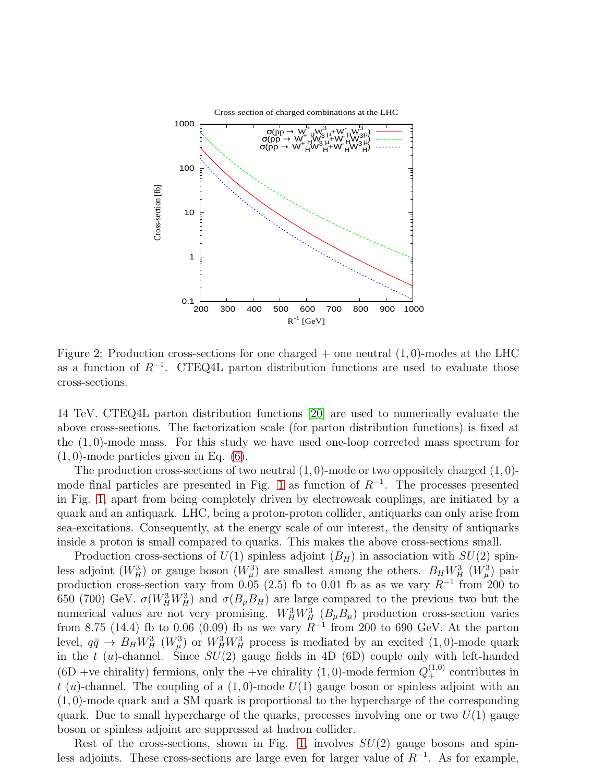

<span id="page-7-0"></span>Figure 2: Production cross-sections for one charged  $+$  one neutral  $(1,0)$ -modes at the LHC as a function of  $R^{-1}$ . CTEQ4L parton distribution functions are used to evaluate those cross-sections.

14 TeV. CTEQ4L parton distribution functions [\[20\]](#page-22-14) are used to numerically evaluate the above cross-sections. The factorization scale (for parton distribution functions) is fixed at the (1, 0)-mode mass. For this study we have used one-loop corrected mass spectrum for  $(1, 0)$ -mode particles given in Eq.  $(6)$ .

The production cross-sections of two neutral  $(1, 0)$ -mode or two oppositely charged  $(1, 0)$ -mode final particles are presented in Fig. [1](#page-6-0) as function of  $R^{-1}$ . The processes presented in Fig. [1,](#page-6-0) apart from being completely driven by electroweak couplings, are initiated by a quark and an antiquark. LHC, being a proton-proton collider, antiquarks can only arise from sea-excitations. Consequently, at the energy scale of our interest, the density of antiquarks inside a proton is small compared to quarks. This makes the above cross-sections small.

Production cross-sections of  $U(1)$  spinless adjoint  $(B_H)$  in association with  $SU(2)$  spinless adjoint  $(W_H^3)$  or gauge boson  $(W_\mu^3)$  are smallest among the others.  $B_H W_H^3$   $(W_\mu^3)$  pair production cross-section vary from 0.05 (2.5) fb to 0.01 fb as as we vary  $R^{-1}$  from 200 to 650 (700) GeV.  $\sigma(W_H^3 W_H^3)$  and  $\sigma(B_\mu B_H)$  are large compared to the previous two but the numerical values are not very promising.  $W_H^3 W_H^3$   $(B_\mu B_\mu)$  production cross-section varies from 8.75 (14.4) fb to 0.06 (0.09) fb as we vary  $R^{-1}$  from 200 to 690 GeV. At the parton level,  $q\bar{q} \to B_H W_H^3$   $(W_\mu^3)$  or  $W_H^3 W_H^3$  process is mediated by an excited  $(1,0)$ -mode quark in the t  $(u)$ -channel. Since  $SU(2)$  gauge fields in 4D (6D) couple only with left-handed (6D +ve chirality) fermions, only the +ve chirality (1,0)-mode fermion  $Q_+^{(1,0)}$  contributes in t (u)-channel. The coupling of a  $(1,0)$ -mode  $U(1)$  gauge boson or spinless adjoint with an (1, 0)-mode quark and a SM quark is proportional to the hypercharge of the corresponding quark. Due to small hypercharge of the quarks, processes involving one or two  $U(1)$  gauge boson or spinless adjoint are suppressed at hadron collider.

Rest of the cross-sections, shown in Fig. [1,](#page-6-0) involves  $SU(2)$  gauge bosons and spinless adjoints. These cross-sections are large even for larger value of  $R^{-1}$ . As for example,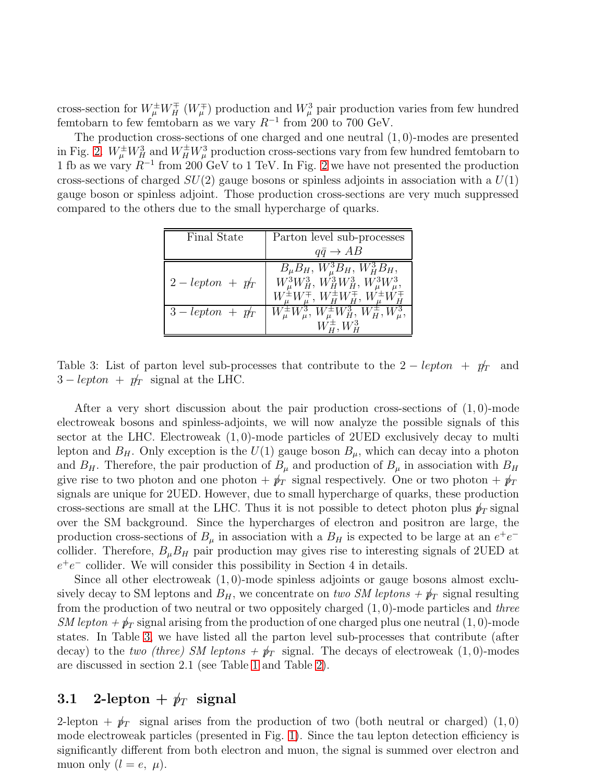cross-section for  $W^{\pm}_{\mu}W^{\mp}_{H}$  ( $W^{\mp}_{\mu}$ ) production and  $W^3_{\mu}$  pair production varies from few hundred femtobarn to few femtobarn as we vary  $R^{-1}$  from 200 to 700 GeV.

The production cross-sections of one charged and one neutral (1, 0)-modes are presented in Fig. [2.](#page-7-0)  $W^{\pm}_\mu W^3_H$  and  $W^{\pm}_H W^3_\mu$  production cross-sections vary from few hundred femtobarn to 1 fb as we vary  $R^{-1}$  from [2](#page-7-0)00 GeV to 1 TeV. In Fig. 2 we have not presented the production cross-sections of charged  $SU(2)$  gauge bosons or spinless adjoints in association with a  $U(1)$ gauge boson or spinless adjoint. Those production cross-sections are very much suppressed compared to the others due to the small hypercharge of quarks.

| Final State        | Parton level sub-processes                                                                                                                                             |
|--------------------|------------------------------------------------------------------------------------------------------------------------------------------------------------------------|
|                    | $q\bar{q} \rightarrow AB$                                                                                                                                              |
| $2 - lepton + p_T$ | $\overline{B_\mu B_H, W_\mu^3 B_H, W_H^3 B_H, \ W_\mu^3 W_H^3, W_H^3 W_H^3, W_\mu^3 W_\mu^3}$<br>$W^{\pm}_\mu W^{\mp}_\mu, W^{\pm}_H W^{\mp}_H, W^{\pm}_\mu W^{\mp}_H$ |
| $3 - lepton + p_T$ | $W^{\pm}_{\mu}W^3_{\mu}, W^{\pm}_{\mu}W^3_{H}, W^{\pm}_{H}, W^3_{\mu},$                                                                                                |

<span id="page-8-0"></span>Table 3: List of parton level sub-processes that contribute to the  $2 - lepton + pT$  and  $3 - lepton + p_T'$  signal at the LHC.

After a very short discussion about the pair production cross-sections of  $(1,0)$ -mode electroweak bosons and spinless-adjoints, we will now analyze the possible signals of this sector at the LHC. Electroweak  $(1,0)$ -mode particles of 2UED exclusively decay to multi lepton and  $B_H$ . Only exception is the  $U(1)$  gauge boson  $B_\mu$ , which can decay into a photon and  $B_H$ . Therefore, the pair production of  $B_\mu$  and production of  $B_\mu$  in association with  $B_H$ give rise to two photon and one photon  $+\cancel{p}_T$  signal respectively. One or two photon  $+\cancel{p}_T$ signals are unique for 2UED. However, due to small hypercharge of quarks, these production cross-sections are small at the LHC. Thus it is not possible to detect photon plus  $\psi_T$  signal over the SM background. Since the hypercharges of electron and positron are large, the production cross-sections of  $B_{\mu}$  in association with a  $B_{H}$  is expected to be large at an  $e^{+}e^{-}$ collider. Therefore,  $B_{\mu}B_{H}$  pair production may gives rise to interesting signals of 2UED at  $e^+e^-$  collider. We will consider this possibility in Section 4 in details.

Since all other electroweak (1, 0)-mode spinless adjoints or gauge bosons almost exclusively decay to SM leptons and  $B_H$ , we concentrate on two SM leptons +  $p_T$  signal resulting from the production of two neutral or two oppositely charged  $(1, 0)$ -mode particles and three SM lepton  $+\cancel{p}_T$  signal arising from the production of one charged plus one neutral  $(1,0)$ -mode states. In Table [3,](#page-8-0) we have listed all the parton level sub-processes that contribute (after decay) to the two (three) SM leptons  $+\cancel{p}_T$  signal. The decays of electroweak (1,0)-modes are discussed in section 2.1 (see Table [1](#page-4-2) and Table [2\)](#page-5-0).

### 3.1 2-lepton +  $p_T$  signal

2-lepton +  $p_T$  signal arises from the production of two (both neutral or charged) (1,0) mode electroweak particles (presented in Fig. [1\)](#page-6-0). Since the tau lepton detection efficiency is significantly different from both electron and muon, the signal is summed over electron and muon only  $(l = e, \mu)$ .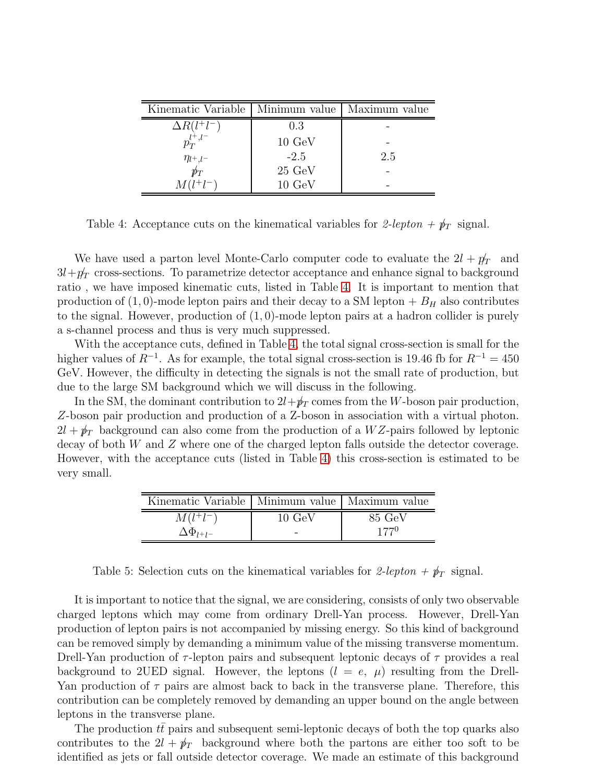| Kinematic Variable | Minimum value    | Maximum value |
|--------------------|------------------|---------------|
| $\Delta R(l^+l^-)$ | 0.3              |               |
| $p_T^{l^+,l^-}$    | $10 \text{ GeV}$ |               |
| $\eta_{l^+,l^-}$   | $-2.5$           | 2.5           |
| $p\llap/_T$        | $25 \text{ GeV}$ |               |
| $M(l^{+}l^{-})$    | $10 \text{ GeV}$ |               |

<span id="page-9-0"></span>Table 4: Acceptance cuts on the kinematical variables for 2-lepton +  $p_T$  signal.

We have used a parton level Monte-Carlo computer code to evaluate the  $2l + p_T$  and  $3l+p_T$  cross-sections. To parametrize detector acceptance and enhance signal to background ratio , we have imposed kinematic cuts, listed in Table [4.](#page-9-0) It is important to mention that production of  $(1, 0)$ -mode lepton pairs and their decay to a SM lepton  $+ B_H$  also contributes to the signal. However, production of  $(1,0)$ -mode lepton pairs at a hadron collider is purely a s-channel process and thus is very much suppressed.

With the acceptance cuts, defined in Table [4,](#page-9-0) the total signal cross-section is small for the higher values of  $R^{-1}$ . As for example, the total signal cross-section is 19.46 fb for  $R^{-1} = 450$ GeV. However, the difficulty in detecting the signals is not the small rate of production, but due to the large SM background which we will discuss in the following.

In the SM, the dominant contribution to  $2l+p_T$  comes from the W-boson pair production, Z-boson pair production and production of a Z-boson in association with a virtual photon.  $2l + \psi_T$  background can also come from the production of a WZ-pairs followed by leptonic decay of both W and Z where one of the charged lepton falls outside the detector coverage. However, with the acceptance cuts (listed in Table [4\)](#page-9-0) this cross-section is estimated to be very small.

| Kinematic Variable   Minimum value   Maximum value |                   |                  |
|----------------------------------------------------|-------------------|------------------|
| $M(l^+l^-)$                                        | $10~\mathrm{GeV}$ | $85 \text{ GeV}$ |
| $\Delta\Phi_{l+1-}$                                |                   | $177^{0}$        |

<span id="page-9-1"></span>Table 5: Selection cuts on the kinematical variables for 2-lepton  $+p<sub>T</sub>$  signal.

It is important to notice that the signal, we are considering, consists of only two observable charged leptons which may come from ordinary Drell-Yan process. However, Drell-Yan production of lepton pairs is not accompanied by missing energy. So this kind of background can be removed simply by demanding a minimum value of the missing transverse momentum. Drell-Yan production of  $\tau$ -lepton pairs and subsequent leptonic decays of  $\tau$  provides a real background to 2UED signal. However, the leptons  $(l = e, \mu)$  resulting from the Drell-Yan production of  $\tau$  pairs are almost back to back in the transverse plane. Therefore, this contribution can be completely removed by demanding an upper bound on the angle between leptons in the transverse plane.

The production  $t\bar{t}$  pairs and subsequent semi-leptonic decays of both the top quarks also contributes to the  $2l + \not{p}_T$  background where both the partons are either too soft to be identified as jets or fall outside detector coverage. We made an estimate of this background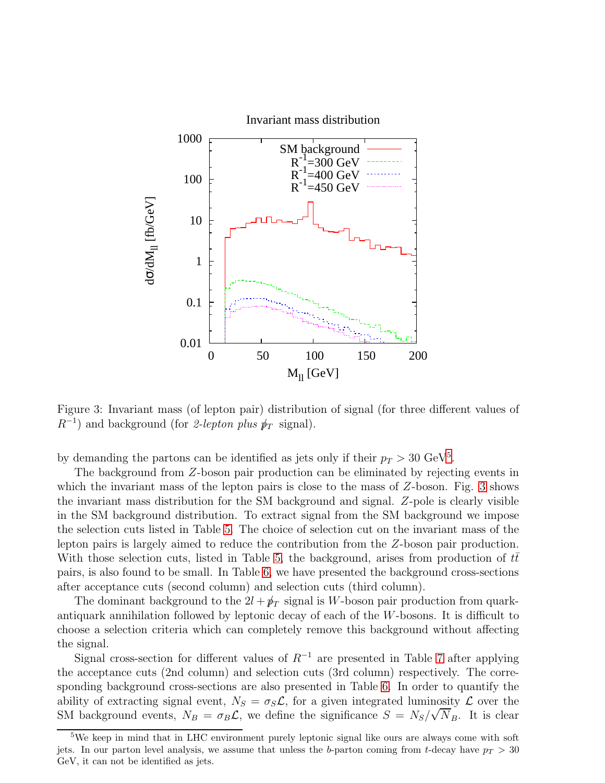

<span id="page-10-1"></span>Figure 3: Invariant mass (of lepton pair) distribution of signal (for three different values of  $R^{-1}$ ) and background (for 2-lepton plus  $p_T$  signal).

by demanding the partons can be identified as jets only if their  $p_T > 30 \text{ GeV}^5$  $p_T > 30 \text{ GeV}^5$ .

The background from Z-boson pair production can be eliminated by rejecting events in which the invariant mass of the lepton pairs is close to the mass of Z-boson. Fig. [3](#page-10-1) shows the invariant mass distribution for the SM background and signal. Z-pole is clearly visible in the SM background distribution. To extract signal from the SM background we impose the selection cuts listed in Table [5.](#page-9-1) The choice of selection cut on the invariant mass of the lepton pairs is largely aimed to reduce the contribution from the Z-boson pair production. With those selection cuts, listed in Table [5,](#page-9-1) the background, arises from production of  $tt$ pairs, is also found to be small. In Table [6,](#page-11-0) we have presented the background cross-sections after acceptance cuts (second column) and selection cuts (third column).

The dominant background to the  $2l + p_T$  signal is W-boson pair production from quarkantiquark annihilation followed by leptonic decay of each of the  $W$ -bosons. It is difficult to choose a selection criteria which can completely remove this background without affecting the signal.

Signal cross-section for different values of  $R^{-1}$  are presented in Table [7](#page-11-1) after applying the acceptance cuts (2nd column) and selection cuts (3rd column) respectively. The corresponding background cross-sections are also presented in Table [6.](#page-11-0) In order to quantify the ability of extracting signal event,  $N_S = \sigma_S \mathcal{L}$ , for a given integrated luminosity  $\mathcal L$  over the SM background events,  $N_B = \sigma_B \mathcal{L}$ , we define the significance  $S = N_S / \sqrt{N_B}$ . It is clear

<span id="page-10-0"></span><sup>&</sup>lt;sup>5</sup>We keep in mind that in LHC environment purely leptonic signal like ours are always come with soft jets. In our parton level analysis, we assume that unless the b-parton coming from t-decay have  $p_T > 30$ GeV, it can not be identified as jets.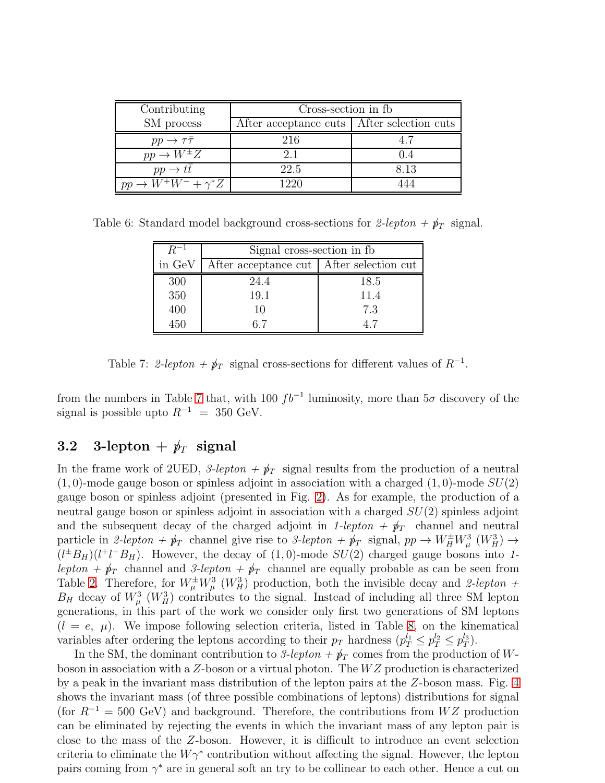| Contributing                        | Cross-section in fb                          |       |  |  |  |
|-------------------------------------|----------------------------------------------|-------|--|--|--|
| SM process                          | After acceptance cuts   After selection cuts |       |  |  |  |
| $pp \rightarrow \tau\bar{\tau}$     | 216                                          |       |  |  |  |
| $pp \rightarrow W^{\pm}Z$           | 2.1                                          | (1.4) |  |  |  |
| $pp \rightarrow tt$                 | 22.5                                         | 8.13  |  |  |  |
| $pp \rightarrow W^+W^- + \gamma^*Z$ | 1220                                         |       |  |  |  |

Table 6: Standard model background cross-sections for 2-lepton  $+\not p_T$  signal.

<span id="page-11-0"></span>

|        | Signal cross-section in fb.                |      |  |  |  |
|--------|--------------------------------------------|------|--|--|--|
| in GeV | After acceptance cut   After selection cut |      |  |  |  |
| 300    | 24.4                                       | 18.5 |  |  |  |
| 350    | 19.1                                       | 11.4 |  |  |  |
| 400    | 10                                         | 7.3  |  |  |  |
| 450    | 67                                         | 47   |  |  |  |

<span id="page-11-1"></span>Table 7: 2-lepton +  $\rlap/p_T$  signal cross-sections for different values of  $R^{-1}$ .

from the numbers in Table [7](#page-11-1) that, with 100  $fb^{-1}$  luminosity, more than  $5\sigma$  discovery of the signal is possible upto  $R^{-1}$  = 350 GeV.

## 3.2 3-lepton +  $p_T$  signal

In the frame work of 2UED, 3-lepton +  $\rlap/p_T$  signal results from the production of a neutral  $(1, 0)$ -mode gauge boson or spinless adjoint in association with a charged  $(1, 0)$ -mode  $SU(2)$ gauge boson or spinless adjoint (presented in Fig. [2\)](#page-7-0). As for example, the production of a neutral gauge boson or spinless adjoint in association with a charged  $SU(2)$  spinless adjoint and the subsequent decay of the charged adjoint in 1-lepton +  $\rlap/p_T$  channel and neutral particle in 2-lepton +  $\psi_T$  channel give rise to 3-lepton +  $\psi_T$  signal,  $pp \to W_H^{\pm} W_\mu^3$  ( $W_H^3$ )  $\to$  $(l^{\pm}B_H)(l^{\pm}l^-B_H)$ . However, the decay of  $(1,0)$ -mode  $SU(2)$  charged gauge bosons into 1lepton +  $\psi_T$  channel and 3-lepton +  $\psi_T$  channel are equally probable as can be seen from Table [2.](#page-5-0) Therefore, for  $W^{\pm}_{\mu}W^3_{\mu}$  ( $W^3_H$ ) production, both the invisible decay and 2-lepton +  $B_H$  decay of  $W^3_\mu$  ( $W^3_H$ ) contributes to the signal. Instead of including all three SM lepton generations, in this part of the work we consider only first two generations of SM leptons  $(l = e, \mu)$ . We impose following selection criteria, listed in Table [8,](#page-12-0) on the kinematical variables after ordering the leptons according to their  $p_T$  hardness  $(p_T^{l_1} \leq p_T^{l_2} \leq p_T^{l_3})$  $_{T}^{\iota_{3}}).$ 

In the SM, the dominant contribution to 3-lepton  $+\cancel{p}_T$  comes from the production of Wboson in association with a  $Z$ -boson or a virtual photon. The  $WZ$  production is characterized by a peak in the invariant mass distribution of the lepton pairs at the Z-boson mass. Fig. [4](#page-13-0) shows the invariant mass (of three possible combinations of leptons) distributions for signal (for  $R^{-1} = 500 \text{ GeV}$ ) and background. Therefore, the contributions from WZ production can be eliminated by rejecting the events in which the invariant mass of any lepton pair is close to the mass of the Z-boson. However, it is difficult to introduce an event selection criteria to eliminate the  $W\gamma^*$  contribution without affecting the signal. However, the lepton pairs coming from  $\gamma^*$  are in general soft an try to be collinear to each other. Hence a cut on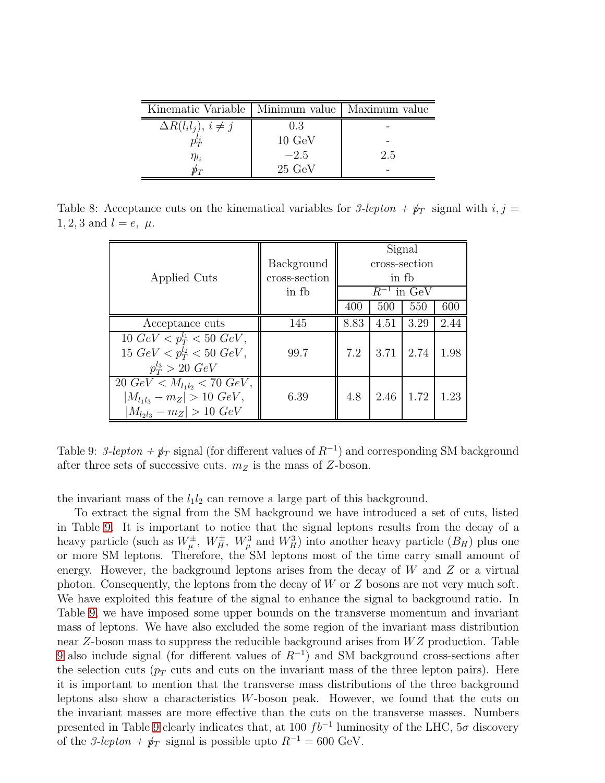| Kinematic Variable   Minimum value   Maximum value |                  |     |
|----------------------------------------------------|------------------|-----|
| $\Delta R(l_i l_j), i \neq j$                      | 0.3              |     |
|                                                    | $10 \text{ GeV}$ |     |
| $\eta_{l_i}$                                       | $-2.5$           | 2.5 |
|                                                    | $25 \text{ GeV}$ |     |

Table 8: Acceptance cuts on the kinematical variables for 3-lepton +  $\rlap/p_T$  signal with  $i, j =$ 1, 2, 3 and  $l = e, \mu$ .

<span id="page-12-0"></span>

|                                                 |               |                 |       | Signal |      |  |
|-------------------------------------------------|---------------|-----------------|-------|--------|------|--|
|                                                 | Background    | cross-section   |       |        |      |  |
| Applied Cuts                                    | cross-section |                 | in fh |        |      |  |
|                                                 | in fb         | $R^{-1}$ in GeV |       |        |      |  |
|                                                 |               | 400             | 500   | 550    | 600  |  |
| Acceptance cuts                                 | 145           | 8.83            | 4.51  | 3.29   | 2.44 |  |
| 10 $GeV < p_T^{l_1} < 50 \ GeV$ ,               |               |                 |       |        |      |  |
| 15 $GeV < p_T^{l_2} < 50 \; GeV$ ,              | 99.7          | 7.2             | 3.71  | 2.74   | 1.98 |  |
| $p_T^{l_3} > 20 \; GeV$                         |               |                 |       |        |      |  |
| $20 \text{ GeV} < M_{l_1l_2} < 70 \text{ GeV},$ |               |                 |       |        |      |  |
| $ M_{l_1l_3}-m_Z >10\ GeV,$                     | 6.39          | 4.8             | 2.46  | 1.72   | 1.23 |  |
| $ M_{l_2l_3} - m_Z  > 10 \; GeV$                |               |                 |       |        |      |  |

<span id="page-12-1"></span>Table 9: 3-lepton +  $\rlap{\,/}p_T$  signal (for different values of  $R^{-1}$ ) and corresponding SM background after three sets of successive cuts.  $m_Z$  is the mass of Z-boson.

the invariant mass of the  $l_1l_2$  can remove a large part of this background.

To extract the signal from the SM background we have introduced a set of cuts, listed in Table [9.](#page-12-1) It is important to notice that the signal leptons results from the decay of a heavy particle (such as  $W^{\pm}_{\mu}$ ,  $W^{\pm}_{H}$ ,  $W^3_{\mu}$  and  $W^3_{H}$ ) into another heavy particle  $(B_H)$  plus one or more SM leptons. Therefore, the SM leptons most of the time carry small amount of energy. However, the background leptons arises from the decay of  $W$  and  $Z$  or a virtual photon. Consequently, the leptons from the decay of  $W$  or  $Z$  bosons are not very much soft. We have exploited this feature of the signal to enhance the signal to background ratio. In Table [9,](#page-12-1) we have imposed some upper bounds on the transverse momentum and invariant mass of leptons. We have also excluded the some region of the invariant mass distribution near  $Z$ -boson mass to suppress the reducible background arises from  $WZ$  production. Table [9](#page-12-1) also include signal (for different values of  $R^{-1}$ ) and SM background cross-sections after the selection cuts ( $p_T$  cuts and cuts on the invariant mass of the three lepton pairs). Here it is important to mention that the transverse mass distributions of the three background leptons also show a characteristics  $W$ -boson peak. However, we found that the cuts on the invariant masses are more effective than the cuts on the transverse masses. Numbers presented in Table [9](#page-12-1) clearly indicates that, at 100  $fb^{-1}$  luminosity of the LHC,  $5\sigma$  discovery of the 3-lepton +  $\rlap/p_T$  signal is possible upto  $R^{-1} = 600 \text{ GeV}$ .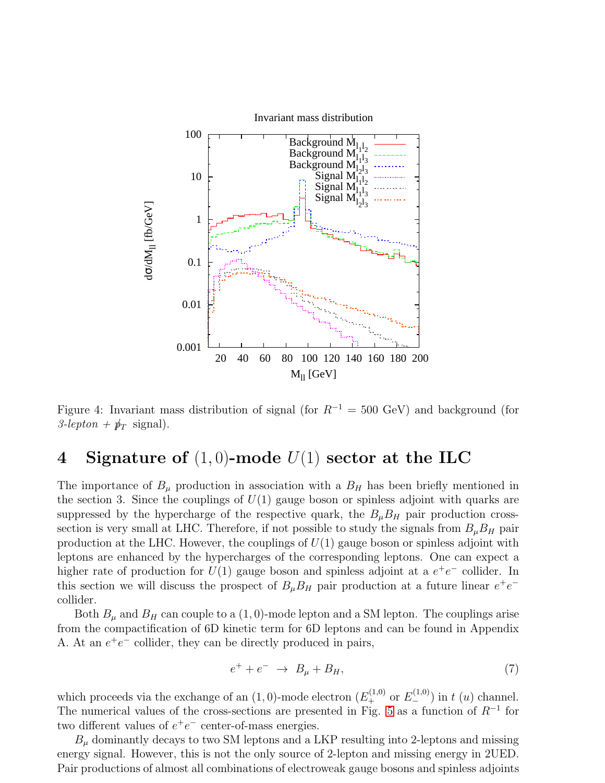

<span id="page-13-0"></span>Figure 4: Invariant mass distribution of signal (for  $R^{-1} = 500 \text{ GeV}$ ) and background (for  $3$ -lepton +  $p_T$  signal).

# 4 Signature of  $(1, 0)$ -mode  $U(1)$  sector at the ILC

The importance of  $B_\mu$  production in association with a  $B_H$  has been briefly mentioned in the section 3. Since the couplings of  $U(1)$  gauge boson or spinless adjoint with quarks are suppressed by the hypercharge of the respective quark, the  $B_{\mu}B_{H}$  pair production crosssection is very small at LHC. Therefore, if not possible to study the signals from  $B_{\mu}B_{H}$  pair production at the LHC. However, the couplings of  $U(1)$  gauge boson or spinless adjoint with leptons are enhanced by the hypercharges of the corresponding leptons. One can expect a higher rate of production for  $U(1)$  gauge boson and spinless adjoint at a  $e^+e^-$  collider. In this section we will discuss the prospect of  $B_{\mu}B_{H}$  pair production at a future linear  $e^{+}e^{-}$ collider.

Both  $B_\mu$  and  $B_H$  can couple to a  $(1, 0)$ -mode lepton and a SM lepton. The couplings arise from the compactification of 6D kinetic term for 6D leptons and can be found in Appendix A. At an  $e^+e^-$  collider, they can be directly produced in pairs,

$$
e^+ + e^- \rightarrow B_\mu + B_H,\tag{7}
$$

which proceeds via the exchange of an  $(1,0)$ -mode electron  $(E_{+}^{(1,0)}$  or  $E_{-}^{(1,0)}$ ) in t  $(u)$  channel. The numerical values of the cross-sections are presented in Fig. [5](#page-14-0) as a function of  $R^{-1}$  for two different values of  $e^+e^-$  center-of-mass energies.

 $B<sub>u</sub>$  dominantly decays to two SM leptons and a LKP resulting into 2-leptons and missing energy signal. However, this is not the only source of 2-lepton and missing energy in 2UED. Pair productions of almost all combinations of electroweak gauge bosons and spinless adjoints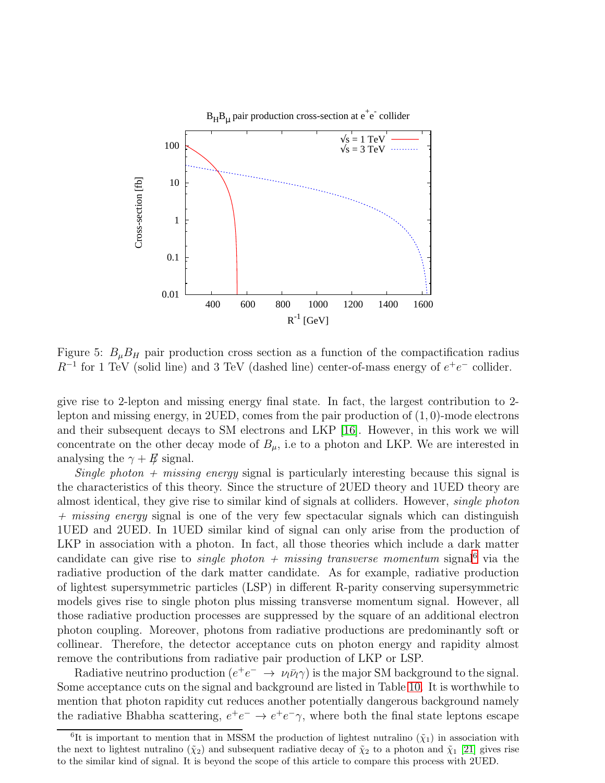

<span id="page-14-0"></span>Figure 5:  $B_{\mu}B_{H}$  pair production cross section as a function of the compactification radius  $R^{-1}$  for 1 TeV (solid line) and 3 TeV (dashed line) center-of-mass energy of  $e^+e^-$  collider.

give rise to 2-lepton and missing energy final state. In fact, the largest contribution to 2 lepton and missing energy, in  $2UED$ , comes from the pair production of  $(1, 0)$ -mode electrons and their subsequent decays to SM electrons and LKP [\[16\]](#page-22-9). However, in this work we will concentrate on the other decay mode of  $B_{\mu}$ , i.e to a photon and LKP. We are interested in analysing the  $\gamma + E$  signal.

Single photon  $+$  missing energy signal is particularly interesting because this signal is the characteristics of this theory. Since the structure of 2UED theory and 1UED theory are almost identical, they give rise to similar kind of signals at colliders. However, single photon  $+$  missing energy signal is one of the very few spectacular signals which can distinguish 1UED and 2UED. In 1UED similar kind of signal can only arise from the production of LKP in association with a photon. In fact, all those theories which include a dark matter candidate can give rise to *single photon* + missing transverse momentum signal<sup>[6](#page-14-1)</sup> via the radiative production of the dark matter candidate. As for example, radiative production of lightest supersymmetric particles (LSP) in different R-parity conserving supersymmetric models gives rise to single photon plus missing transverse momentum signal. However, all those radiative production processes are suppressed by the square of an additional electron photon coupling. Moreover, photons from radiative productions are predominantly soft or collinear. Therefore, the detector acceptance cuts on photon energy and rapidity almost remove the contributions from radiative pair production of LKP or LSP.

Radiative neutrino production  $(e^+e^- \to \nu_l\bar{\nu}_l\gamma)$  is the major SM background to the signal. Some acceptance cuts on the signal and background are listed in Table [10.](#page-15-0) It is worthwhile to mention that photon rapidity cut reduces another potentially dangerous background namely the radiative Bhabha scattering,  $e^+e^- \to e^+e^- \gamma$ , where both the final state leptons escape

<span id="page-14-1"></span><sup>&</sup>lt;sup>6</sup>It is important to mention that in MSSM the production of lightest nutralino  $(\tilde{\chi}_1)$  in association with the next to lightest nutralino  $(\tilde{\chi}_2)$  and subsequent radiative decay of  $\tilde{\chi}_2$  to a photon and  $\tilde{\chi}_1$  [\[21\]](#page-22-15) gives rise to the similar kind of signal. It is beyond the scope of this article to compare this process with 2UED.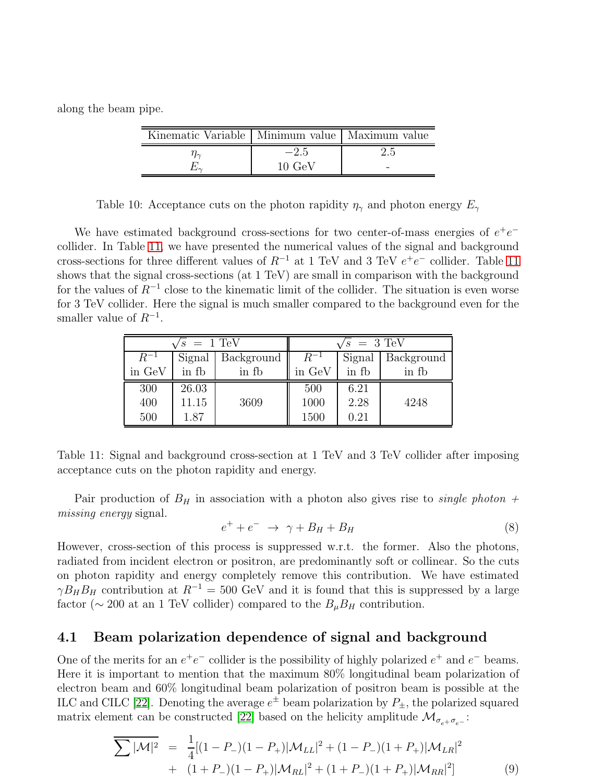along the beam pipe.

| Kinematic Variable   Minimum value   Maximum value |                 |  |
|----------------------------------------------------|-----------------|--|
|                                                    | $-2.5$          |  |
|                                                    | $10~\text{GeV}$ |  |

<span id="page-15-0"></span>Table 10: Acceptance cuts on the photon rapidity  $\eta_{\gamma}$  and photon energy  $E_{\gamma}$ 

We have estimated background cross-sections for two center-of-mass energies of  $e^+e^$ collider. In Table [11,](#page-15-1) we have presented the numerical values of the signal and background cross-sections for three different values of  $R^{-1}$  at 1 TeV and 3 TeV  $e^+e^-$  collider. Table [11](#page-15-1) shows that the signal cross-sections (at 1 TeV) are small in comparison with the background for the values of  $R^{-1}$  close to the kinematic limit of the collider. The situation is even worse for 3 TeV collider. Here the signal is much smaller compared to the background even for the smaller value of  $R^{-1}$ .

| $\sqrt{s}$ = 1 TeV |        |            | $\sqrt{s}$ = 3 TeV |        |            |
|--------------------|--------|------------|--------------------|--------|------------|
| $R^{-1}$           | Signal | Background | $R^{-1}$           | Signal | Background |
| in GeV             | in fb  | in fb      | in GeV             | in fb  | in fb      |
| 300                | 26.03  |            | 500                | 6.21   |            |
| 400                | 11.15  | 3609       | 1000               | 2.28   | 4248       |
| 500                | 1.87   |            | 1500               | 0.21   |            |

<span id="page-15-1"></span>Table 11: Signal and background cross-section at 1 TeV and 3 TeV collider after imposing acceptance cuts on the photon rapidity and energy.

Pair production of  $B_H$  in association with a photon also gives rise to *single photon* + missing energy signal.

$$
e^+ + e^- \rightarrow \gamma + B_H + B_H \tag{8}
$$

However, cross-section of this process is suppressed w.r.t. the former. Also the photons, radiated from incident electron or positron, are predominantly soft or collinear. So the cuts on photon rapidity and energy completely remove this contribution. We have estimated  $\gamma B_H B_H$  contribution at  $R^{-1} = 500$  GeV and it is found that this is suppressed by a large factor ( $\sim$  200 at an 1 TeV collider) compared to the  $B_{\mu}B_{H}$  contribution.

### 4.1 Beam polarization dependence of signal and background

One of the merits for an  $e^+e^-$  collider is the possibility of highly polarized  $e^+$  and  $e^-$  beams. Here it is important to mention that the maximum 80% longitudinal beam polarization of electron beam and 60% longitudinal beam polarization of positron beam is possible at the ILC and CILC [\[22\]](#page-22-16). Denoting the average  $e^{\pm}$  beam polarization by  $P_{\pm}$ , the polarized squared matrix element can be constructed [\[22\]](#page-22-16) based on the helicity amplitude  $\mathcal{M}_{\sigma_{e^+}\sigma_{e^-}}$ :

<span id="page-15-2"></span>
$$
\sum |\mathcal{M}|^2 = \frac{1}{4}[(1 - P_{-})(1 - P_{+})|\mathcal{M}_{LL}|^2 + (1 - P_{-})(1 + P_{+})|\mathcal{M}_{LR}|^2
$$
  
+ 
$$
(1 + P_{-})(1 - P_{+})|\mathcal{M}_{RL}|^2 + (1 + P_{-})(1 + P_{+})|\mathcal{M}_{RR}|^2]
$$
(9)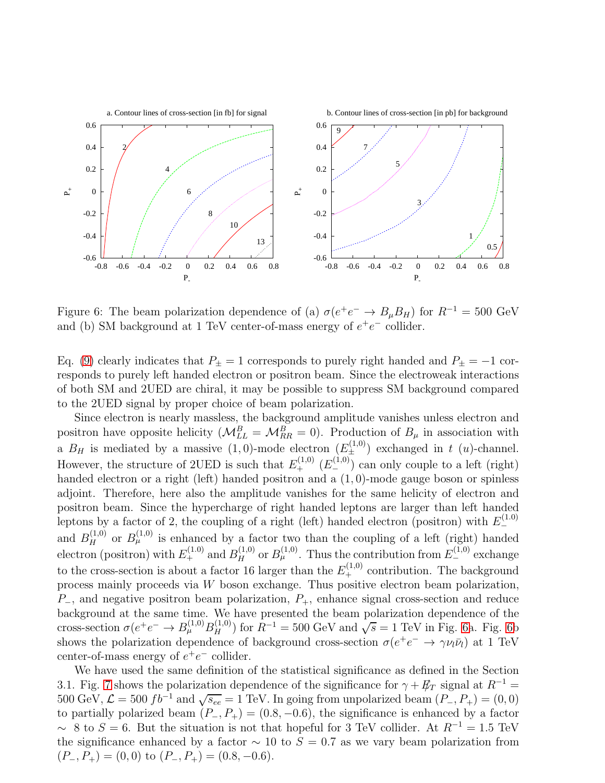

<span id="page-16-0"></span>Figure 6: The beam polarization dependence of (a)  $\sigma(e^+e^- \to B_\mu B_H)$  for  $R^{-1} = 500 \text{ GeV}$ and (b) SM background at 1 TeV center-of-mass energy of  $e^+e^-$  collider.

Eq. [\(9\)](#page-15-2) clearly indicates that  $P_{\pm} = 1$  corresponds to purely right handed and  $P_{\pm} = -1$  corresponds to purely left handed electron or positron beam. Since the electroweak interactions of both SM and 2UED are chiral, it may be possible to suppress SM background compared to the 2UED signal by proper choice of beam polarization.

Since electron is nearly massless, the background amplitude vanishes unless electron and positron have opposite helicity  $(M_{LL}^B = M_{RR}^B = 0)$ . Production of  $B_\mu$  in association with a  $B_H$  is mediated by a massive  $(1,0)$ -mode electron  $(E_{\perp}^{(1,0)})$  exchanged in t  $(u)$ -channel. However, the structure of 2UED is such that  $E_+^{(1,0)}(E_-^{(1,0)})$  can only couple to a left (right) handed electron or a right (left) handed positron and a (1, 0)-mode gauge boson or spinless adjoint. Therefore, here also the amplitude vanishes for the same helicity of electron and positron beam. Since the hypercharge of right handed leptons are larger than left handed leptons by a factor of 2, the coupling of a right (left) handed electron (positron) with  $E_{-}^{(1.0)}$ − and  $B<sub>H</sub><sup>(1,0)</sup>$  or  $B<sub>\mu</sub><sup>(1,0)</sup>$  is enhanced by a factor two than the coupling of a left (right) handed electron (positron) with  $E_{+}^{(1,0)}$  and  $B_{H}^{(1,0)}$  or  $B_{\mu}^{(1,0)}$ . Thus the contribution from  $E_{-}^{(1,0)}$  exchange to the cross-section is about a factor 16 larger than the  $E_+^{(1,0)}$  contribution. The background process mainly proceeds via  $W$  boson exchange. Thus positive electron beam polarization,  $P_$ , and negative positron beam polarization,  $P_+$ , enhance signal cross-section and reduce background at the same time. We have presented the beam polarization dependence of the cross-section  $\sigma(e^+e^- \to B^{(1,0)}_\mu B^{(1,0)}_H)$  for  $R^{-1} = 500$  GeV and  $\sqrt{s} = 1$  TeV in Fig. [6a](#page-16-0). Fig. [6b](#page-16-0) shows the polarization dependence of background cross-section  $\sigma(e^+e^- \to \gamma \nu_l \bar{\nu}_l)$  at 1 TeV center-of-mass energy of  $e^+e^-$  collider.

We have used the same definition of the statistical significance as defined in the Section 3.1. Fig. [7](#page-17-0) shows the polarization dependence of the significance for  $\gamma + E_T$  signal at  $R^{-1}$  = 500 GeV,  $\mathcal{L} = 500 f b^{-1}$  and  $\sqrt{s_{ee}} = 1$  TeV. In going from unpolarized beam  $(P_-, P_+) = (0, 0)$ to partially polarized beam  $(P_-, P_+) = (0.8, -0.6)$ , the significance is enhanced by a factor  $\sim 8$  to  $S = 6$ . But the situation is not that hopeful for 3 TeV collider. At  $R^{-1} = 1.5$  TeV the significance enhanced by a factor  $\sim$  10 to  $S = 0.7$  as we vary beam polarization from  $(P_-, P_+) = (0, 0)$  to  $(P_-, P_+) = (0.8, -0.6)$ .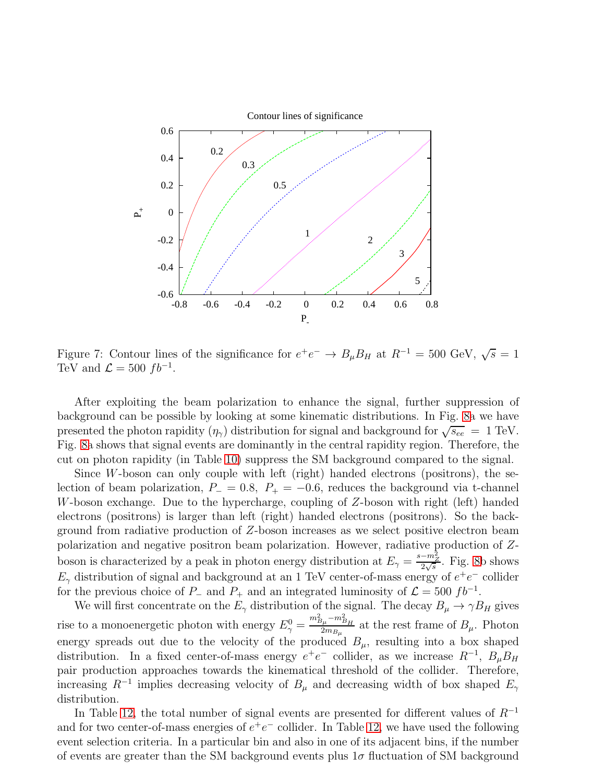

<span id="page-17-0"></span>Figure 7: Contour lines of the significance for  $e^+e^- \to B_\mu B_H$  at  $R^{-1} = 500$  GeV,  $\sqrt{s} = 1$ TeV and  $\mathcal{L} = 500 f b^{-1}$ .

After exploiting the beam polarization to enhance the signal, further suppression of background can be possible by looking at some kinematic distributions. In Fig. [8a](#page-18-0) we have presented the photon rapidity  $(\eta_{\gamma})$  distribution for signal and background for  $\sqrt{s_{ee}} = 1$  TeV. Fig. [8a](#page-18-0) shows that signal events are dominantly in the central rapidity region. Therefore, the cut on photon rapidity (in Table [10\)](#page-15-0) suppress the SM background compared to the signal.

Since W-boson can only couple with left (right) handed electrons (positrons), the selection of beam polarization,  $P_-=0.8$ ,  $P_+=-0.6$ , reduces the background via t-channel W-boson exchange. Due to the hypercharge, coupling of Z-boson with right (left) handed electrons (positrons) is larger than left (right) handed electrons (positrons). So the background from radiative production of Z-boson increases as we select positive electron beam polarization and negative positron beam polarization. However, radiative production of Zboson is characterized by a peak in photon energy distribution at  $E_{\gamma} = \frac{s - m_Z^2}{2\sqrt{s}}$ . Fig. [8b](#page-18-0) shows  $E_{\gamma}$  distribution of signal and background at an 1 TeV center-of-mass energy of  $e^+e^-$  collider for the previous choice of  $P_-\$  and  $P_+\$  and an integrated luminosity of  $\mathcal{L} = 500 f b^{-1}$ .

We will first concentrate on the  $E_{\gamma}$  distribution of the signal. The decay  $B_{\mu} \to \gamma B_H$  gives rise to a monoenergetic photon with energy  $E_{\gamma}^{0} = \frac{m_{B_{\mu}}^{2} - m_{B_{H}}^{2}}{2m_{B_{\mu}}}$  $\frac{\mu_{\mu} - m_{B_{\mu}}}{2m_{B_{\mu}}}$  at the rest frame of  $B_{\mu}$ . Photon energy spreads out due to the velocity of the produced  $B_{\mu}$ , resulting into a box shaped distribution. In a fixed center-of-mass energy  $e^+e^-$  collider, as we increase  $R^{-1}$ ,  $B_\mu B_H$ pair production approaches towards the kinematical threshold of the collider. Therefore, increasing  $R^{-1}$  implies decreasing velocity of  $B_{\mu}$  and decreasing width of box shaped  $E_{\gamma}$ distribution.

In Table [12,](#page-19-0) the total number of signal events are presented for different values of  $R^{-1}$ and for two center-of-mass energies of  $e^+e^-$  collider. In Table [12,](#page-19-0) we have used the following event selection criteria. In a particular bin and also in one of its adjacent bins, if the number of events are greater than the SM background events plus  $1\sigma$  fluctuation of SM background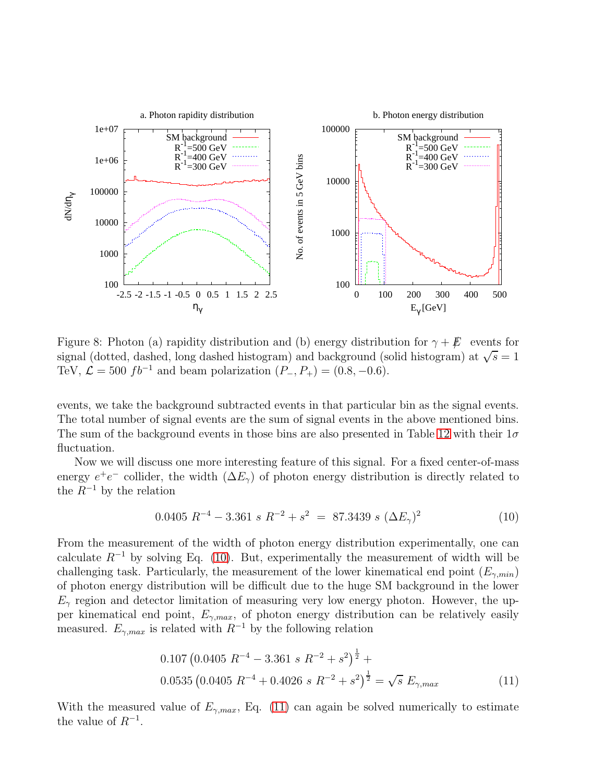

<span id="page-18-0"></span>Figure 8: Photon (a) rapidity distribution and (b) energy distribution for  $\gamma + \cancel{E}$  events for signal (dotted, dashed, long dashed histogram) and background (solid histogram) at  $\sqrt{s} = 1$ TeV,  $\mathcal{L} = 500$  fb<sup>-1</sup> and beam polarization  $(P_-, P_+) = (0.8, -0.6)$ .

events, we take the background subtracted events in that particular bin as the signal events. The total number of signal events are the sum of signal events in the above mentioned bins. The sum of the background events in those bins are also presented in Table [12](#page-19-0) with their  $1\sigma$ fluctuation.

Now we will discuss one more interesting feature of this signal. For a fixed center-of-mass energy  $e^+e^-$  collider, the width  $(\Delta E_{\gamma})$  of photon energy distribution is directly related to the  $R^{-1}$  by the relation

<span id="page-18-1"></span>
$$
0.0405 R^{-4} - 3.361 s R^{-2} + s^2 = 87.3439 s (\Delta E_{\gamma})^2
$$
 (10)

From the measurement of the width of photon energy distribution experimentally, one can calculate  $R^{-1}$  by solving Eq. [\(10\)](#page-18-1). But, experimentally the measurement of width will be challenging task. Particularly, the measurement of the lower kinematical end point  $(E_{\gamma,min})$ of photon energy distribution will be difficult due to the huge SM background in the lower  $E_{\gamma}$  region and detector limitation of measuring very low energy photon. However, the upper kinematical end point,  $E_{\gamma,max}$ , of photon energy distribution can be relatively easily measured.  $E_{\gamma,max}$  is related with  $R^{-1}$  by the following relation

<span id="page-18-2"></span>
$$
0.107 \left(0.0405 R^{-4} - 3.361 s R^{-2} + s^2\right)^{\frac{1}{2}} +
$$
  

$$
0.0535 \left(0.0405 R^{-4} + 0.4026 s R^{-2} + s^2\right)^{\frac{1}{2}} = \sqrt{s} E_{\gamma,max}
$$
 (11)

With the measured value of  $E_{\gamma,max}$ , Eq. [\(11\)](#page-18-2) can again be solved numerically to estimate the value of  $R^{-1}$ .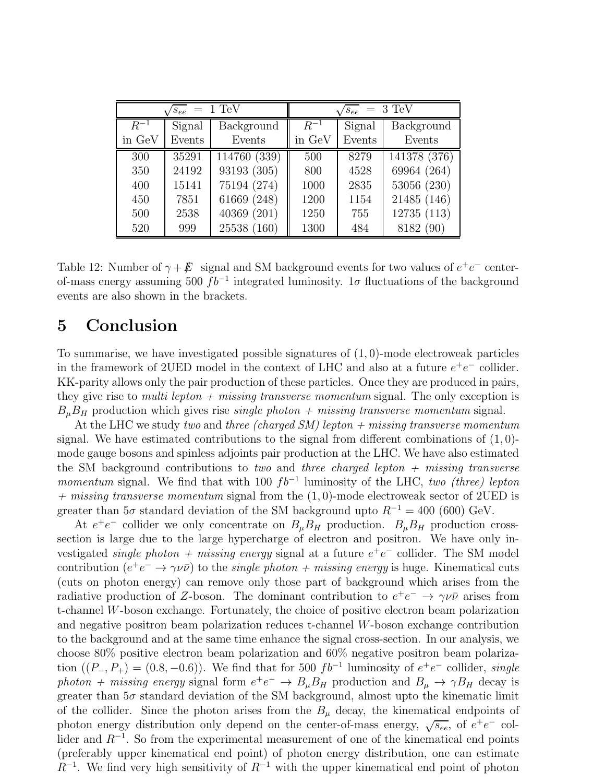| $= 1 \text{ TeV}$<br>$'s_{ee}$ |        |                   | $= 3 \text{ TeV}$<br>$s_{ee}$ |        |              |  |
|--------------------------------|--------|-------------------|-------------------------------|--------|--------------|--|
| $R^{-1}$                       | Signal | <b>Background</b> | $R^{-1}$                      | Signal | Background   |  |
| in GeV                         | Events | Events            | in GeV                        | Events | Events       |  |
| 300                            | 35291  | 114760 (339)      | 500                           | 8279   | 141378 (376) |  |
| 350                            | 24192  | 93193 (305)       | 800                           | 4528   | 69964 (264)  |  |
| 400                            | 15141  | 75194 (274)       | 1000                          | 2835   | 53056 (230)  |  |
| 450                            | 7851   | 61669 (248)       | 1200                          | 1154   | 21485 (146)  |  |
| 500                            | 2538   | 40369 (201)       | 1250                          | 755    | 12735 (113)  |  |
| 520                            | 999    | 25538 (160)       | 1300                          | 484    | 8182 (90)    |  |

<span id="page-19-0"></span>Table 12: Number of  $\gamma + \cancel{E}$  signal and SM background events for two values of  $e^+e^-$  centerof-mass energy assuming 500  $fb^{-1}$  integrated luminosity. 1 $\sigma$  fluctuations of the background events are also shown in the brackets.

# 5 Conclusion

To summarise, we have investigated possible signatures of  $(1, 0)$ -mode electroweak particles in the framework of 2UED model in the context of LHC and also at a future  $e^+e^-$  collider. KK-parity allows only the pair production of these particles. Once they are produced in pairs, they give rise to *multi lepton + missing transverse momentum* signal. The only exception is  $B_{\mu}B_{H}$  production which gives rise *single photon + missing transverse momentum* signal.

At the LHC we study two and three (charged  $SM$ ) lepton  $+$  missing transverse momentum signal. We have estimated contributions to the signal from different combinations of  $(1,0)$ mode gauge bosons and spinless adjoints pair production at the LHC. We have also estimated the SM background contributions to two and three charged lepton  $+$  missing transverse momentum signal. We find that with 100  $fb^{-1}$  luminosity of the LHC, two (three) lepton  $+$  missing transverse momentum signal from the  $(1, 0)$ -mode electroweak sector of 2UED is greater than  $5\sigma$  standard deviation of the SM background upto  $R^{-1} = 400$  (600) GeV.

At  $e^+e^-$  collider we only concentrate on  $B_\mu B_H$  production.  $B_\mu B_H$  production crosssection is large due to the large hypercharge of electron and positron. We have only investigated *single photon* + missing energy signal at a future  $e^+e^-$  collider. The SM model contribution  $(e^+e^- \rightarrow \gamma \nu \bar{\nu})$  to the *single photon + missing energy* is huge. Kinematical cuts (cuts on photon energy) can remove only those part of background which arises from the radiative production of Z-boson. The dominant contribution to  $e^+e^- \to \gamma \nu \bar{\nu}$  arises from t-channel W-boson exchange. Fortunately, the choice of positive electron beam polarization and negative positron beam polarization reduces t-channel W-boson exchange contribution to the background and at the same time enhance the signal cross-section. In our analysis, we choose 80% positive electron beam polarization and 60% negative positron beam polarization  $((P_-, P_+) = (0.8, -0.6))$ . We find that for 500  $fb^{-1}$  luminosity of  $e^+e^-$  collider, single photon + missing energy signal form  $e^+e^- \to B_\mu B_H$  production and  $B_\mu \to \gamma B_H$  decay is greater than  $5\sigma$  standard deviation of the SM background, almost upto the kinematic limit of the collider. Since the photon arises from the  $B_\mu$  decay, the kinematical endpoints of photon energy distribution only depend on the center-of-mass energy,  $\sqrt{s_{ee}}$ , of  $e^+e^-$  collider and  $R^{-1}$ . So from the experimental measurement of one of the kinematical end points (preferably upper kinematical end point) of photon energy distribution, one can estimate  $R^{-1}$ . We find very high sensitivity of  $R^{-1}$  with the upper kinematical end point of photon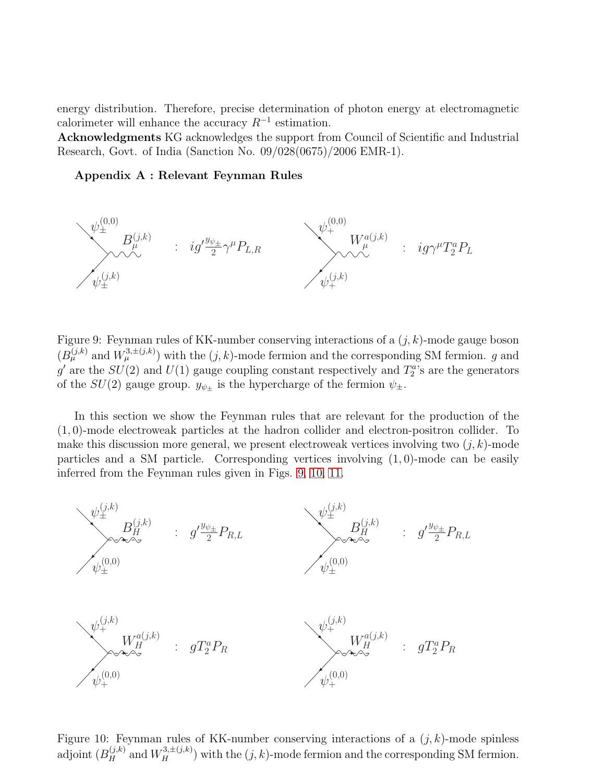energy distribution. Therefore, precise determination of photon energy at electromagnetic calorimeter will enhance the accuracy  $R^{-1}$  estimation.

Acknowledgments KG acknowledges the support from Council of Scientific and Industrial Research, Govt. of India (Sanction No. 09/028(0675)/2006 EMR-1).

#### Appendix A : Relevant Feynman Rules



<span id="page-20-0"></span>Figure 9: Feynman rules of KK-number conserving interactions of a  $(j, k)$ -mode gauge boson  $(B_{\mu}^{(j,k)}$  and  $W_{\mu}^{3,\pm(j,k)}$  with the  $(j,k)$ -mode fermion and the corresponding SM fermion. g and  $g'$  are the  $SU(2)$  and  $U(1)$  gauge coupling constant respectively and  $T_2^a$ 's are the generators of the  $SU(2)$  gauge group.  $y_{\psi_{\pm}}$  is the hypercharge of the fermion  $\psi_{\pm}$ .

In this section we show the Feynman rules that are relevant for the production of the (1, 0)-mode electroweak particles at the hadron collider and electron-positron collider. To make this discussion more general, we present electroweak vertices involving two  $(j, k)$ -mode particles and a SM particle. Corresponding vertices involving  $(1, 0)$ -mode can be easily inferred from the Feynman rules given in Figs. [9,](#page-20-0) [10,](#page-20-1) [11.](#page-21-5)



<span id="page-20-1"></span>Figure 10: Feynman rules of KK-number conserving interactions of a  $(j, k)$ -mode spinless adjoint  $(B_H^{(j,k)}$  and  $W_H^{3,\pm(j,k)})$  with the  $(j,k)$ -mode fermion and the corresponding SM fermion.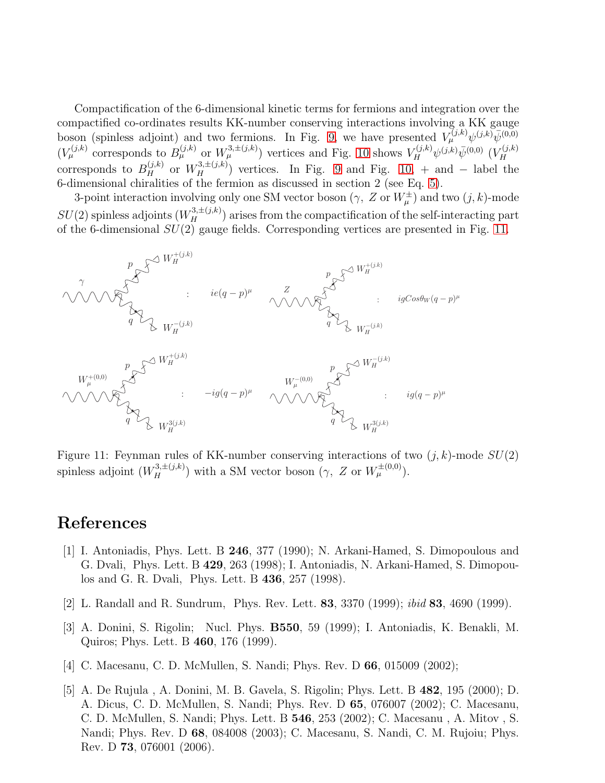Compactification of the 6-dimensional kinetic terms for fermions and integration over the compactified co-ordinates results KK-number conserving interactions involving a KK gauge boson (spinless adjoint) and two fermions. In Fig. [9,](#page-20-0) we have presented  $V^{(j,k)}_{\mu} \psi^{(j,k)} \bar{\psi}^{(0,0)}$  $(V_{\mu}^{(j,k)}$  corresponds to  $B_{\mu}^{(j,k)}$  or  $W_{\mu}^{3,\pm(j,k)}$ ) vertices and Fig. [10](#page-20-1) shows  $V_H^{(j,k)} \psi^{(j,k)} \bar{\psi}^{(0,0)}$   $(V_H^{(j,k)})$ H corresponds to  $B_H^{(j,k)}$  or  $W_H^{3,\pm(j,k)}$  vertices. In Fig. [9](#page-20-0) and Fig. [10,](#page-20-1) + and - label the 6-dimensional chiralities of the fermion as discussed in section 2 (see Eq. [5\)](#page-3-0).

3-point interaction involving only one SM vector boson  $(\gamma, Z \text{ or } W^{\pm}_{\mu})$  and two  $(j, k)$ -mode  $SU(2)$  spinless adjoints  $(W_H^{3,\pm(j,k)})$  arises from the compactification of the self-interacting part of the 6-dimensional  $SU(2)$  gauge fields. Corresponding vertices are presented in Fig. [11.](#page-21-5)



<span id="page-21-5"></span>Figure 11: Feynman rules of KK-number conserving interactions of two  $(j, k)$ -mode  $SU(2)$ spinless adjoint  $(W_H^{3,\pm(j,k)})$  with a SM vector boson  $(\gamma, Z \text{ or } W_\mu^{\pm(0,0)})$ .

# <span id="page-21-0"></span>References

- [1] I. Antoniadis, Phys. Lett. B 246, 377 (1990); N. Arkani-Hamed, S. Dimopoulous and G. Dvali, Phys. Lett. B 429, 263 (1998); I. Antoniadis, N. Arkani-Hamed, S. Dimopoulos and G. R. Dvali, Phys. Lett. B 436, 257 (1998).
- <span id="page-21-2"></span><span id="page-21-1"></span>[2] L. Randall and R. Sundrum, Phys. Rev. Lett. 83, 3370 (1999); ibid 83, 4690 (1999).
- [3] A. Donini, S. Rigolin; Nucl. Phys. B550, 59 (1999); I. Antoniadis, K. Benakli, M. Quiros; Phys. Lett. B 460, 176 (1999).
- <span id="page-21-4"></span><span id="page-21-3"></span>[4] C. Macesanu, C. D. McMullen, S. Nandi; Phys. Rev. D 66, 015009 (2002);
- [5] A. De Rujula , A. Donini, M. B. Gavela, S. Rigolin; Phys. Lett. B 482, 195 (2000); D. A. Dicus, C. D. McMullen, S. Nandi; Phys. Rev. D 65, 076007 (2002); C. Macesanu, C. D. McMullen, S. Nandi; Phys. Lett. B 546, 253 (2002); C. Macesanu , A. Mitov , S. Nandi; Phys. Rev. D 68, 084008 (2003); C. Macesanu, S. Nandi, C. M. Rujoiu; Phys. Rev. D 73, 076001 (2006).